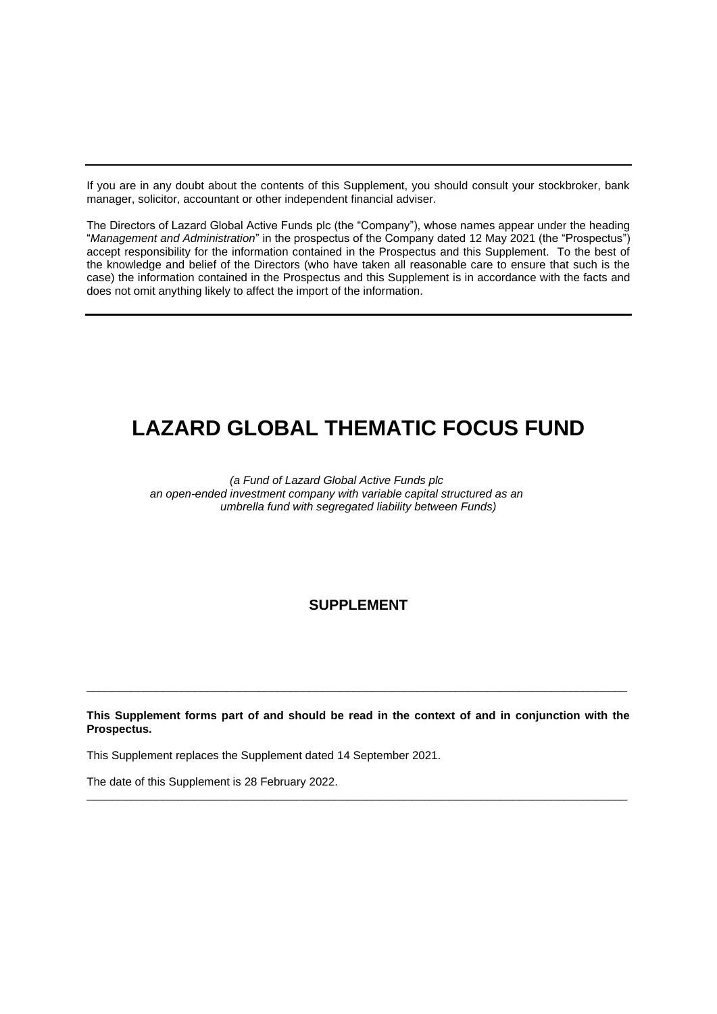If you are in any doubt about the contents of this Supplement, you should consult your stockbroker, bank manager, solicitor, accountant or other independent financial adviser.

The Directors of Lazard Global Active Funds plc (the "Company"), whose names appear under the heading "*Management and Administration*" in the prospectus of the Company dated 12 May 2021 (the "Prospectus") accept responsibility for the information contained in the Prospectus and this Supplement. To the best of the knowledge and belief of the Directors (who have taken all reasonable care to ensure that such is the case) the information contained in the Prospectus and this Supplement is in accordance with the facts and does not omit anything likely to affect the import of the information.

# **LAZARD GLOBAL THEMATIC FOCUS FUND**

*(a Fund of Lazard Global Active Funds plc an open-ended investment company with variable capital structured as an umbrella fund with segregated liability between Funds)*

## **SUPPLEMENT**

**This Supplement forms part of and should be read in the context of and in conjunction with the Prospectus.**

 $\_$  , and the set of the set of the set of the set of the set of the set of the set of the set of the set of the set of the set of the set of the set of the set of the set of the set of the set of the set of the set of th

\_\_\_\_\_\_\_\_\_\_\_\_\_\_\_\_\_\_\_\_\_\_\_\_\_\_\_\_\_\_\_\_\_\_\_\_\_\_\_\_\_\_\_\_\_\_\_\_\_\_\_\_\_\_\_\_\_\_\_\_\_\_\_\_\_\_\_\_\_\_\_\_\_\_\_\_\_\_\_\_\_\_\_\_\_

This Supplement replaces the Supplement dated 14 September 2021.

The date of this Supplement is 28 February 2022.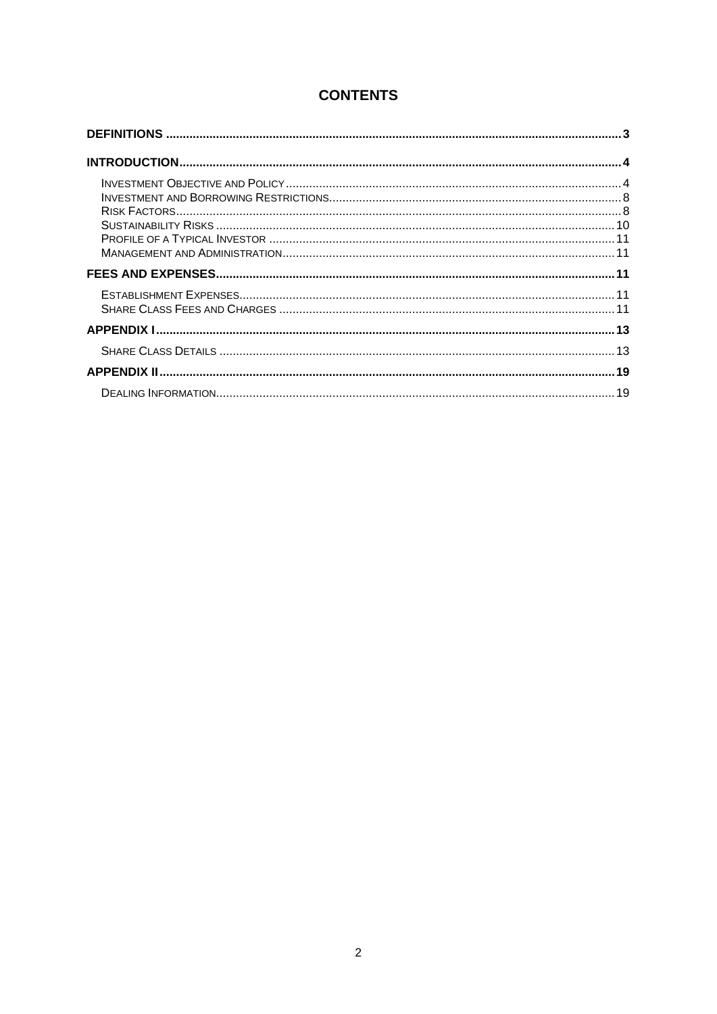## **CONTENTS**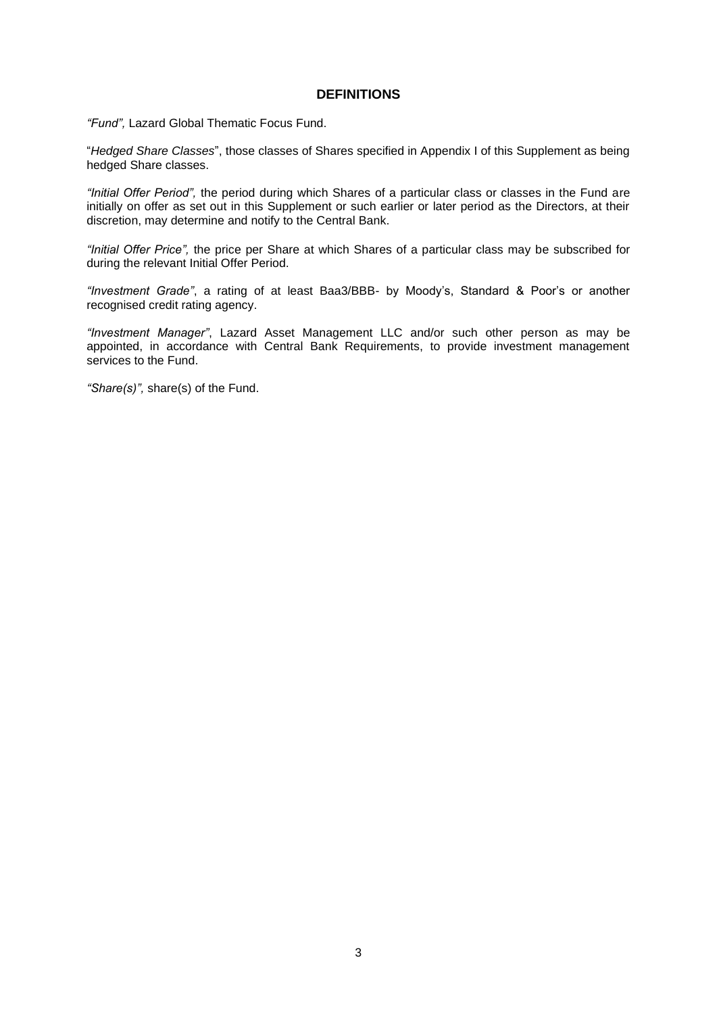### **DEFINITIONS**

*"Fund",* Lazard Global Thematic Focus Fund.

"*Hedged Share Classes*", those classes of Shares specified in Appendix I of this Supplement as being hedged Share classes.

*"Initial Offer Period",* the period during which Shares of a particular class or classes in the Fund are initially on offer as set out in this Supplement or such earlier or later period as the Directors, at their discretion, may determine and notify to the Central Bank.

*"Initial Offer Price",* the price per Share at which Shares of a particular class may be subscribed for during the relevant Initial Offer Period.

*"Investment Grade"*, a rating of at least Baa3/BBB- by Moody's, Standard & Poor's or another recognised credit rating agency.

*"Investment Manager"*, Lazard Asset Management LLC and/or such other person as may be appointed, in accordance with Central Bank Requirements, to provide investment management services to the Fund.

*"Share(s)",* share(s) of the Fund.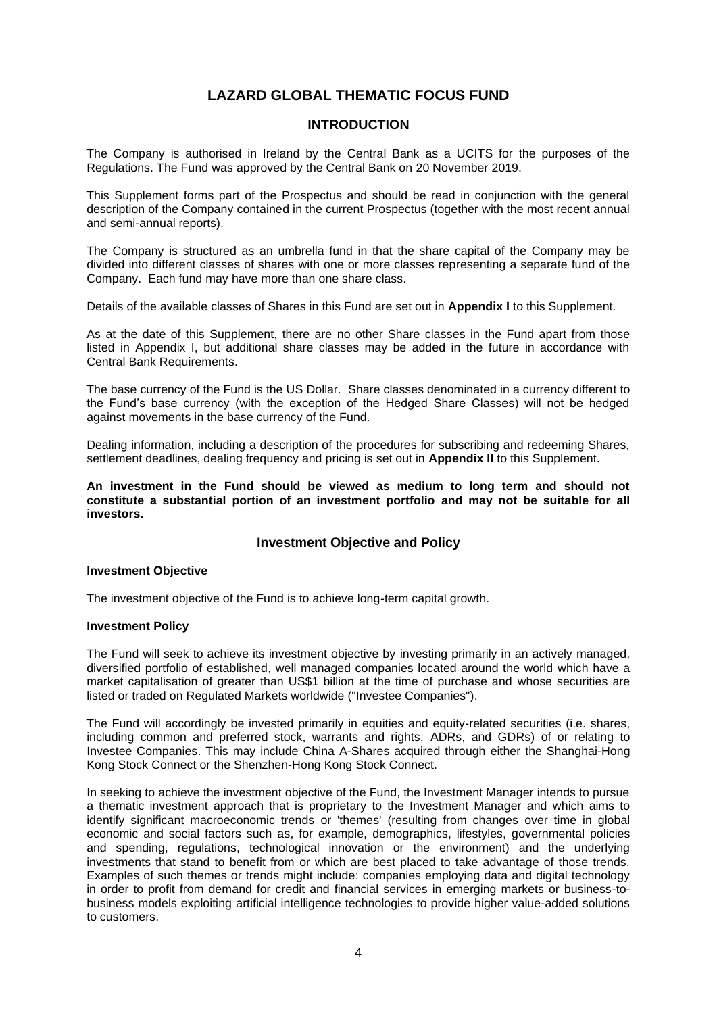## **LAZARD GLOBAL THEMATIC FOCUS FUND**

## **INTRODUCTION**

The Company is authorised in Ireland by the Central Bank as a UCITS for the purposes of the Regulations. The Fund was approved by the Central Bank on 20 November 2019.

This Supplement forms part of the Prospectus and should be read in conjunction with the general description of the Company contained in the current Prospectus (together with the most recent annual and semi-annual reports).

The Company is structured as an umbrella fund in that the share capital of the Company may be divided into different classes of shares with one or more classes representing a separate fund of the Company. Each fund may have more than one share class.

Details of the available classes of Shares in this Fund are set out in **Appendix I** to this Supplement.

As at the date of this Supplement, there are no other Share classes in the Fund apart from those listed in Appendix I, but additional share classes may be added in the future in accordance with Central Bank Requirements.

The base currency of the Fund is the US Dollar. Share classes denominated in a currency different to the Fund's base currency (with the exception of the Hedged Share Classes) will not be hedged against movements in the base currency of the Fund.

Dealing information, including a description of the procedures for subscribing and redeeming Shares, settlement deadlines, dealing frequency and pricing is set out in **Appendix II** to this Supplement.

**An investment in the Fund should be viewed as medium to long term and should not constitute a substantial portion of an investment portfolio and may not be suitable for all investors.** 

## **Investment Objective and Policy**

#### **Investment Objective**

The investment objective of the Fund is to achieve long-term capital growth.

### **Investment Policy**

The Fund will seek to achieve its investment objective by investing primarily in an actively managed, diversified portfolio of established, well managed companies located around the world which have a market capitalisation of greater than US\$1 billion at the time of purchase and whose securities are listed or traded on Regulated Markets worldwide ("Investee Companies").

The Fund will accordingly be invested primarily in equities and equity-related securities (i.e. shares, including common and preferred stock, warrants and rights, ADRs, and GDRs) of or relating to Investee Companies. This may include China A-Shares acquired through either the Shanghai-Hong Kong Stock Connect or the Shenzhen-Hong Kong Stock Connect.

In seeking to achieve the investment objective of the Fund, the Investment Manager intends to pursue a thematic investment approach that is proprietary to the Investment Manager and which aims to identify significant macroeconomic trends or 'themes' (resulting from changes over time in global economic and social factors such as, for example, demographics, lifestyles, governmental policies and spending, regulations, technological innovation or the environment) and the underlying investments that stand to benefit from or which are best placed to take advantage of those trends. Examples of such themes or trends might include: companies employing data and digital technology in order to profit from demand for credit and financial services in emerging markets or business-tobusiness models exploiting artificial intelligence technologies to provide higher value-added solutions to customers.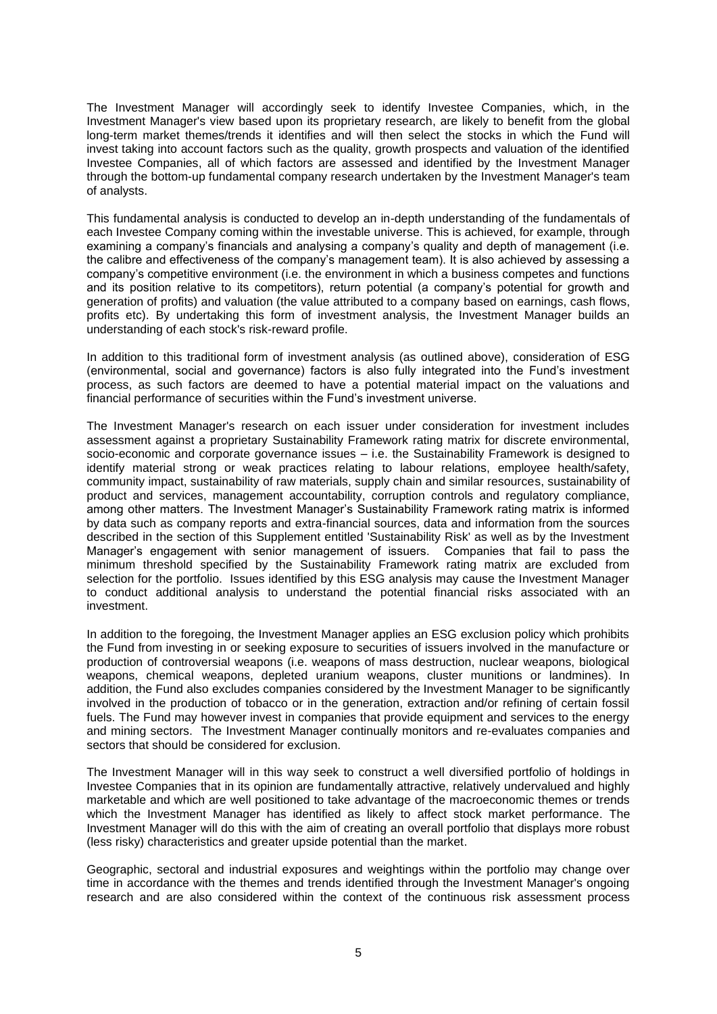The Investment Manager will accordingly seek to identify Investee Companies, which, in the Investment Manager's view based upon its proprietary research, are likely to benefit from the global long-term market themes/trends it identifies and will then select the stocks in which the Fund will invest taking into account factors such as the quality, growth prospects and valuation of the identified Investee Companies, all of which factors are assessed and identified by the Investment Manager through the bottom-up fundamental company research undertaken by the Investment Manager's team of analysts.

This fundamental analysis is conducted to develop an in-depth understanding of the fundamentals of each Investee Company coming within the investable universe. This is achieved, for example, through examining a company's financials and analysing a company's quality and depth of management (i.e. the calibre and effectiveness of the company's management team). It is also achieved by assessing a company's competitive environment (i.e. the environment in which a business competes and functions and its position relative to its competitors), return potential (a company's potential for growth and generation of profits) and valuation (the value attributed to a company based on earnings, cash flows, profits etc). By undertaking this form of investment analysis, the Investment Manager builds an understanding of each stock's risk-reward profile.

In addition to this traditional form of investment analysis (as outlined above), consideration of ESG (environmental, social and governance) factors is also fully integrated into the Fund's investment process, as such factors are deemed to have a potential material impact on the valuations and financial performance of securities within the Fund's investment universe.

The Investment Manager's research on each issuer under consideration for investment includes assessment against a proprietary Sustainability Framework rating matrix for discrete environmental, socio-economic and corporate governance issues – i.e. the Sustainability Framework is designed to identify material strong or weak practices relating to labour relations, employee health/safety, community impact, sustainability of raw materials, supply chain and similar resources, sustainability of product and services, management accountability, corruption controls and regulatory compliance, among other matters. The Investment Manager's Sustainability Framework rating matrix is informed by data such as company reports and extra-financial sources, data and information from the sources described in the section of this Supplement entitled 'Sustainability Risk' as well as by the Investment Manager's engagement with senior management of issuers. Companies that fail to pass the minimum threshold specified by the Sustainability Framework rating matrix are excluded from selection for the portfolio. Issues identified by this ESG analysis may cause the Investment Manager to conduct additional analysis to understand the potential financial risks associated with an investment.

In addition to the foregoing, the Investment Manager applies an ESG exclusion policy which prohibits the Fund from investing in or seeking exposure to securities of issuers involved in the manufacture or production of controversial weapons (i.e. weapons of mass destruction, nuclear weapons, biological weapons, chemical weapons, depleted uranium weapons, cluster munitions or landmines). In addition, the Fund also excludes companies considered by the Investment Manager to be significantly involved in the production of tobacco or in the generation, extraction and/or refining of certain fossil fuels. The Fund may however invest in companies that provide equipment and services to the energy and mining sectors. The Investment Manager continually monitors and re-evaluates companies and sectors that should be considered for exclusion.

The Investment Manager will in this way seek to construct a well diversified portfolio of holdings in Investee Companies that in its opinion are fundamentally attractive, relatively undervalued and highly marketable and which are well positioned to take advantage of the macroeconomic themes or trends which the Investment Manager has identified as likely to affect stock market performance. The Investment Manager will do this with the aim of creating an overall portfolio that displays more robust (less risky) characteristics and greater upside potential than the market.

Geographic, sectoral and industrial exposures and weightings within the portfolio may change over time in accordance with the themes and trends identified through the Investment Manager's ongoing research and are also considered within the context of the continuous risk assessment process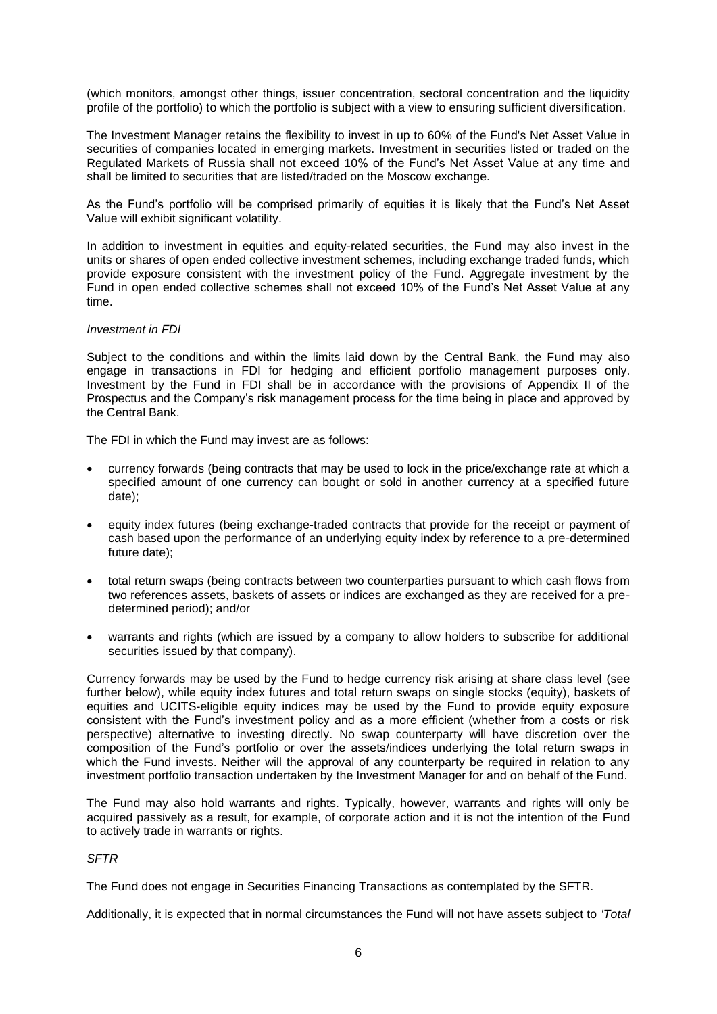(which monitors, amongst other things, issuer concentration, sectoral concentration and the liquidity profile of the portfolio) to which the portfolio is subject with a view to ensuring sufficient diversification.

The Investment Manager retains the flexibility to invest in up to 60% of the Fund's Net Asset Value in securities of companies located in emerging markets. Investment in securities listed or traded on the Regulated Markets of Russia shall not exceed 10% of the Fund's Net Asset Value at any time and shall be limited to securities that are listed/traded on the Moscow exchange.

As the Fund's portfolio will be comprised primarily of equities it is likely that the Fund's Net Asset Value will exhibit significant volatility.

In addition to investment in equities and equity-related securities, the Fund may also invest in the units or shares of open ended collective investment schemes, including exchange traded funds, which provide exposure consistent with the investment policy of the Fund. Aggregate investment by the Fund in open ended collective schemes shall not exceed 10% of the Fund's Net Asset Value at any time.

#### *Investment in FDI*

Subject to the conditions and within the limits laid down by the Central Bank, the Fund may also engage in transactions in FDI for hedging and efficient portfolio management purposes only. Investment by the Fund in FDI shall be in accordance with the provisions of Appendix II of the Prospectus and the Company's risk management process for the time being in place and approved by the Central Bank.

The FDI in which the Fund may invest are as follows:

- currency forwards (being contracts that may be used to lock in the price/exchange rate at which a specified amount of one currency can bought or sold in another currency at a specified future date);
- equity index futures (being exchange-traded contracts that provide for the receipt or payment of cash based upon the performance of an underlying equity index by reference to a pre-determined future date);
- total return swaps (being contracts between two counterparties pursuant to which cash flows from two references assets, baskets of assets or indices are exchanged as they are received for a predetermined period); and/or
- warrants and rights (which are issued by a company to allow holders to subscribe for additional securities issued by that company).

Currency forwards may be used by the Fund to hedge currency risk arising at share class level (see further below), while equity index futures and total return swaps on single stocks (equity), baskets of equities and UCITS-eligible equity indices may be used by the Fund to provide equity exposure consistent with the Fund's investment policy and as a more efficient (whether from a costs or risk perspective) alternative to investing directly. No swap counterparty will have discretion over the composition of the Fund's portfolio or over the assets/indices underlying the total return swaps in which the Fund invests. Neither will the approval of any counterparty be required in relation to any investment portfolio transaction undertaken by the Investment Manager for and on behalf of the Fund.

The Fund may also hold warrants and rights. Typically, however, warrants and rights will only be acquired passively as a result, for example, of corporate action and it is not the intention of the Fund to actively trade in warrants or rights.

#### *SFTR*

The Fund does not engage in Securities Financing Transactions as contemplated by the SFTR.

Additionally, it is expected that in normal circumstances the Fund will not have assets subject to *'Total*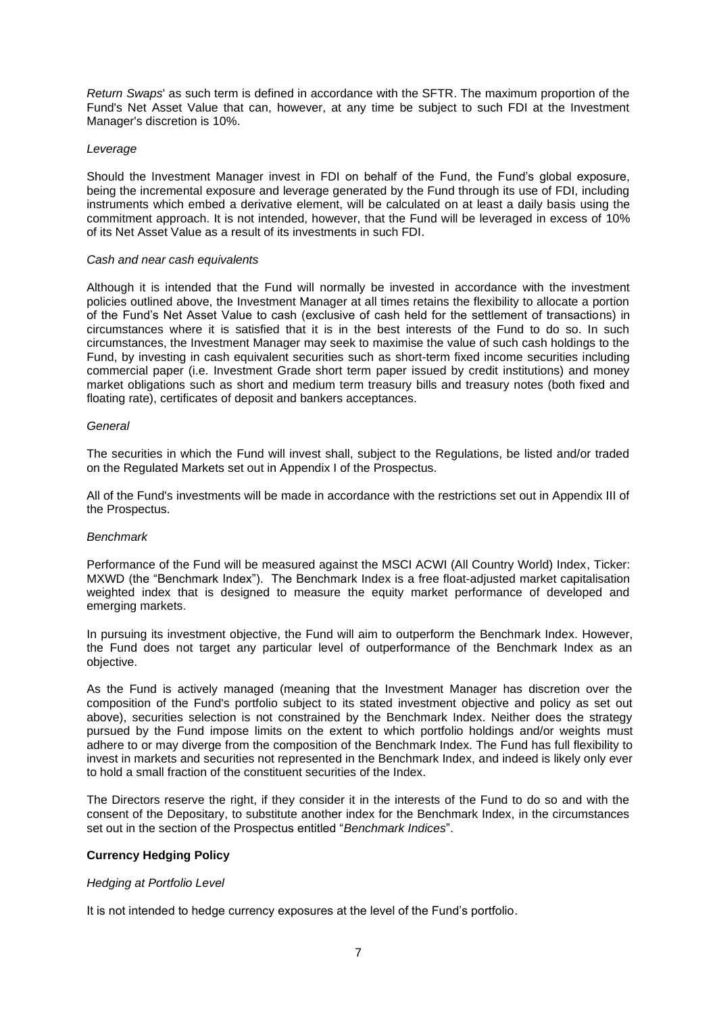*Return Swaps*' as such term is defined in accordance with the SFTR. The maximum proportion of the Fund's Net Asset Value that can, however, at any time be subject to such FDI at the Investment Manager's discretion is 10%.

### *Leverage*

Should the Investment Manager invest in FDI on behalf of the Fund, the Fund's global exposure, being the incremental exposure and leverage generated by the Fund through its use of FDI, including instruments which embed a derivative element, will be calculated on at least a daily basis using the commitment approach. It is not intended, however, that the Fund will be leveraged in excess of 10% of its Net Asset Value as a result of its investments in such FDI.

#### *Cash and near cash equivalents*

Although it is intended that the Fund will normally be invested in accordance with the investment policies outlined above, the Investment Manager at all times retains the flexibility to allocate a portion of the Fund's Net Asset Value to cash (exclusive of cash held for the settlement of transactions) in circumstances where it is satisfied that it is in the best interests of the Fund to do so. In such circumstances, the Investment Manager may seek to maximise the value of such cash holdings to the Fund, by investing in cash equivalent securities such as short-term fixed income securities including commercial paper (i.e. Investment Grade short term paper issued by credit institutions) and money market obligations such as short and medium term treasury bills and treasury notes (both fixed and floating rate), certificates of deposit and bankers acceptances.

#### *General*

The securities in which the Fund will invest shall, subject to the Regulations, be listed and/or traded on the Regulated Markets set out in Appendix I of the Prospectus.

All of the Fund's investments will be made in accordance with the restrictions set out in Appendix III of the Prospectus.

#### *Benchmark*

Performance of the Fund will be measured against the MSCI ACWI (All Country World) Index, Ticker: MXWD (the "Benchmark Index"). The Benchmark Index is a free float-adjusted market capitalisation weighted index that is designed to measure the equity market performance of developed and emerging markets.

In pursuing its investment objective, the Fund will aim to outperform the Benchmark Index. However, the Fund does not target any particular level of outperformance of the Benchmark Index as an objective.

As the Fund is actively managed (meaning that the Investment Manager has discretion over the composition of the Fund's portfolio subject to its stated investment objective and policy as set out above), securities selection is not constrained by the Benchmark Index. Neither does the strategy pursued by the Fund impose limits on the extent to which portfolio holdings and/or weights must adhere to or may diverge from the composition of the Benchmark Index. The Fund has full flexibility to invest in markets and securities not represented in the Benchmark Index, and indeed is likely only ever to hold a small fraction of the constituent securities of the Index.

The Directors reserve the right, if they consider it in the interests of the Fund to do so and with the consent of the Depositary, to substitute another index for the Benchmark Index, in the circumstances set out in the section of the Prospectus entitled "*Benchmark Indices*".

#### **Currency Hedging Policy**

#### *Hedging at Portfolio Level*

It is not intended to hedge currency exposures at the level of the Fund's portfolio.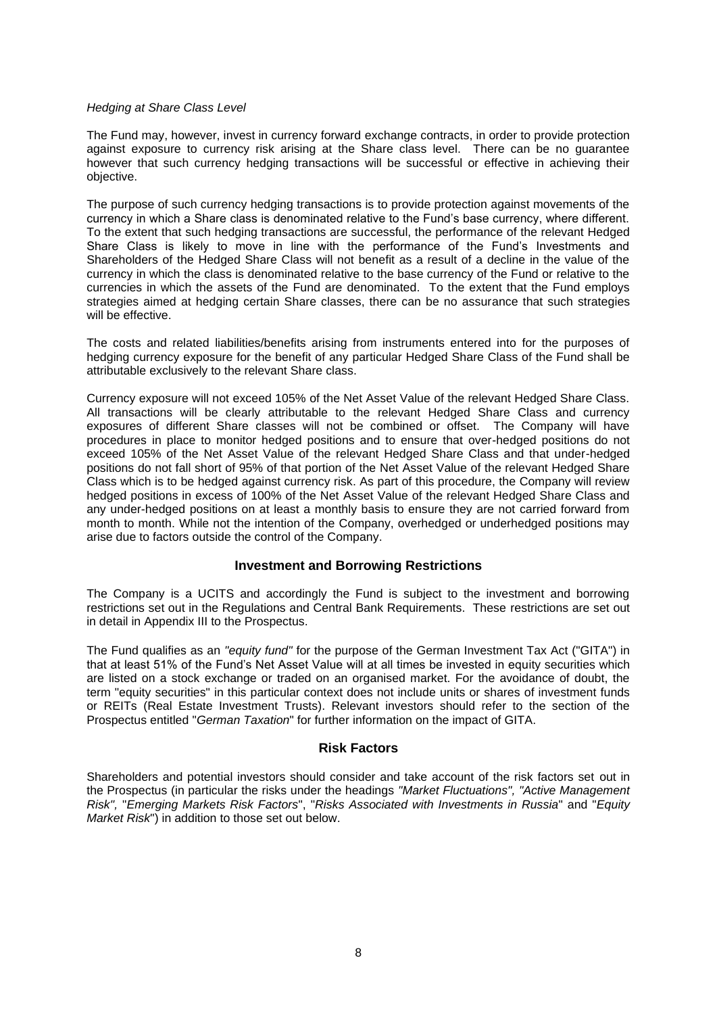### *Hedging at Share Class Level*

The Fund may, however, invest in currency forward exchange contracts, in order to provide protection against exposure to currency risk arising at the Share class level. There can be no guarantee however that such currency hedging transactions will be successful or effective in achieving their objective.

The purpose of such currency hedging transactions is to provide protection against movements of the currency in which a Share class is denominated relative to the Fund's base currency, where different. To the extent that such hedging transactions are successful, the performance of the relevant Hedged Share Class is likely to move in line with the performance of the Fund's Investments and Shareholders of the Hedged Share Class will not benefit as a result of a decline in the value of the currency in which the class is denominated relative to the base currency of the Fund or relative to the currencies in which the assets of the Fund are denominated. To the extent that the Fund employs strategies aimed at hedging certain Share classes, there can be no assurance that such strategies will be effective.

The costs and related liabilities/benefits arising from instruments entered into for the purposes of hedging currency exposure for the benefit of any particular Hedged Share Class of the Fund shall be attributable exclusively to the relevant Share class.

Currency exposure will not exceed 105% of the Net Asset Value of the relevant Hedged Share Class. All transactions will be clearly attributable to the relevant Hedged Share Class and currency exposures of different Share classes will not be combined or offset. The Company will have procedures in place to monitor hedged positions and to ensure that over-hedged positions do not exceed 105% of the Net Asset Value of the relevant Hedged Share Class and that under-hedged positions do not fall short of 95% of that portion of the Net Asset Value of the relevant Hedged Share Class which is to be hedged against currency risk. As part of this procedure, the Company will review hedged positions in excess of 100% of the Net Asset Value of the relevant Hedged Share Class and any under-hedged positions on at least a monthly basis to ensure they are not carried forward from month to month. While not the intention of the Company, overhedged or underhedged positions may arise due to factors outside the control of the Company.

## **Investment and Borrowing Restrictions**

The Company is a UCITS and accordingly the Fund is subject to the investment and borrowing restrictions set out in the Regulations and Central Bank Requirements. These restrictions are set out in detail in Appendix III to the Prospectus.

The Fund qualifies as an *"equity fund"* for the purpose of the German Investment Tax Act ("GITA") in that at least 51% of the Fund's Net Asset Value will at all times be invested in equity securities which are listed on a stock exchange or traded on an organised market. For the avoidance of doubt, the term "equity securities" in this particular context does not include units or shares of investment funds or REITs (Real Estate Investment Trusts). Relevant investors should refer to the section of the Prospectus entitled "*German Taxation*" for further information on the impact of GITA.

## **Risk Factors**

Shareholders and potential investors should consider and take account of the risk factors set out in the Prospectus (in particular the risks under the headings *"Market Fluctuations", "Active Management Risk",* "*Emerging Markets Risk Factors*", "*Risks Associated with Investments in Russia*" and "*Equity Market Risk*") in addition to those set out below.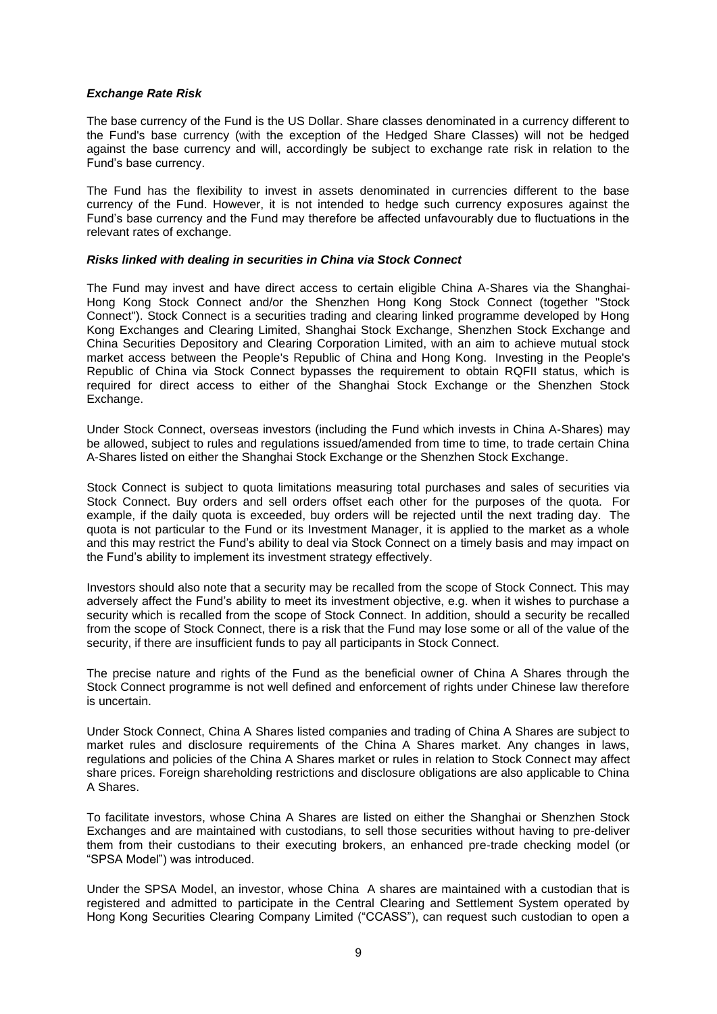### *Exchange Rate Risk*

The base currency of the Fund is the US Dollar. Share classes denominated in a currency different to the Fund's base currency (with the exception of the Hedged Share Classes) will not be hedged against the base currency and will, accordingly be subject to exchange rate risk in relation to the Fund's base currency.

The Fund has the flexibility to invest in assets denominated in currencies different to the base currency of the Fund. However, it is not intended to hedge such currency exposures against the Fund's base currency and the Fund may therefore be affected unfavourably due to fluctuations in the relevant rates of exchange.

#### *Risks linked with dealing in securities in China via Stock Connect*

The Fund may invest and have direct access to certain eligible China A-Shares via the Shanghai-Hong Kong Stock Connect and/or the Shenzhen Hong Kong Stock Connect (together "Stock Connect"). Stock Connect is a securities trading and clearing linked programme developed by Hong Kong Exchanges and Clearing Limited, Shanghai Stock Exchange, Shenzhen Stock Exchange and China Securities Depository and Clearing Corporation Limited, with an aim to achieve mutual stock market access between the People's Republic of China and Hong Kong. Investing in the People's Republic of China via Stock Connect bypasses the requirement to obtain RQFII status, which is required for direct access to either of the Shanghai Stock Exchange or the Shenzhen Stock Exchange.

Under Stock Connect, overseas investors (including the Fund which invests in China A-Shares) may be allowed, subject to rules and regulations issued/amended from time to time, to trade certain China A-Shares listed on either the Shanghai Stock Exchange or the Shenzhen Stock Exchange.

Stock Connect is subject to quota limitations measuring total purchases and sales of securities via Stock Connect. Buy orders and sell orders offset each other for the purposes of the quota. For example, if the daily quota is exceeded, buy orders will be rejected until the next trading day. The quota is not particular to the Fund or its Investment Manager, it is applied to the market as a whole and this may restrict the Fund's ability to deal via Stock Connect on a timely basis and may impact on the Fund's ability to implement its investment strategy effectively.

Investors should also note that a security may be recalled from the scope of Stock Connect. This may adversely affect the Fund's ability to meet its investment objective, e.g. when it wishes to purchase a security which is recalled from the scope of Stock Connect. In addition, should a security be recalled from the scope of Stock Connect, there is a risk that the Fund may lose some or all of the value of the security, if there are insufficient funds to pay all participants in Stock Connect.

The precise nature and rights of the Fund as the beneficial owner of China A Shares through the Stock Connect programme is not well defined and enforcement of rights under Chinese law therefore is uncertain.

Under Stock Connect, China A Shares listed companies and trading of China A Shares are subject to market rules and disclosure requirements of the China A Shares market. Any changes in laws, regulations and policies of the China A Shares market or rules in relation to Stock Connect may affect share prices. Foreign shareholding restrictions and disclosure obligations are also applicable to China A Shares.

To facilitate investors, whose China A Shares are listed on either the Shanghai or Shenzhen Stock Exchanges and are maintained with custodians, to sell those securities without having to pre-deliver them from their custodians to their executing brokers, an enhanced pre-trade checking model (or "SPSA Model") was introduced.

Under the SPSA Model, an investor, whose China A shares are maintained with a custodian that is registered and admitted to participate in the Central Clearing and Settlement System operated by Hong Kong Securities Clearing Company Limited ("CCASS"), can request such custodian to open a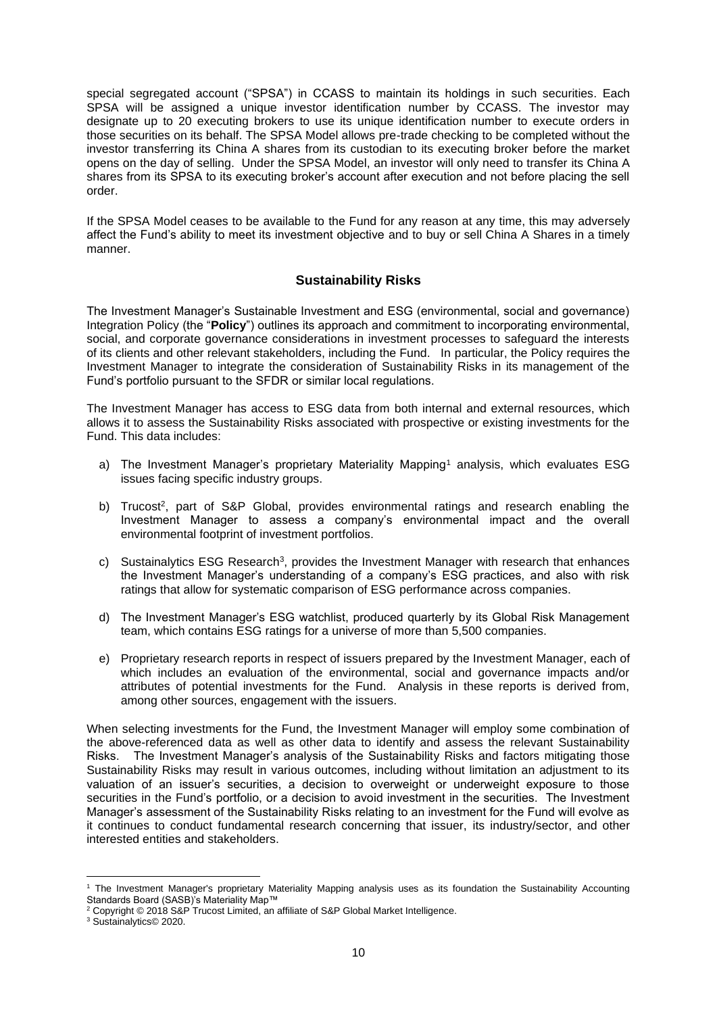special segregated account ("SPSA") in CCASS to maintain its holdings in such securities. Each SPSA will be assigned a unique investor identification number by CCASS. The investor may designate up to 20 executing brokers to use its unique identification number to execute orders in those securities on its behalf. The SPSA Model allows pre-trade checking to be completed without the investor transferring its China A shares from its custodian to its executing broker before the market opens on the day of selling. Under the SPSA Model, an investor will only need to transfer its China A shares from its SPSA to its executing broker's account after execution and not before placing the sell order.

If the SPSA Model ceases to be available to the Fund for any reason at any time, this may adversely affect the Fund's ability to meet its investment objective and to buy or sell China A Shares in a timely manner.

## **Sustainability Risks**

The Investment Manager's Sustainable Investment and ESG (environmental, social and governance) Integration Policy (the "**Policy**") outlines its approach and commitment to incorporating environmental, social, and corporate governance considerations in investment processes to safeguard the interests of its clients and other relevant stakeholders, including the Fund. In particular, the Policy requires the Investment Manager to integrate the consideration of Sustainability Risks in its management of the Fund's portfolio pursuant to the SFDR or similar local regulations.

The Investment Manager has access to ESG data from both internal and external resources, which allows it to assess the Sustainability Risks associated with prospective or existing investments for the Fund. This data includes:

- a) The Investment Manager's proprietary Materiality Mapping<sup>1</sup> analysis, which evaluates ESG issues facing specific industry groups.
- b) Trucost<sup>2</sup>, part of S&P Global, provides environmental ratings and research enabling the Investment Manager to assess a company's environmental impact and the overall environmental footprint of investment portfolios.
- c) Sustainalytics ESG Research<sup>3</sup>, provides the Investment Manager with research that enhances the Investment Manager's understanding of a company's ESG practices, and also with risk ratings that allow for systematic comparison of ESG performance across companies.
- d) The Investment Manager's ESG watchlist, produced quarterly by its Global Risk Management team, which contains ESG ratings for a universe of more than 5,500 companies.
- e) Proprietary research reports in respect of issuers prepared by the Investment Manager, each of which includes an evaluation of the environmental, social and governance impacts and/or attributes of potential investments for the Fund. Analysis in these reports is derived from, among other sources, engagement with the issuers.

When selecting investments for the Fund, the Investment Manager will employ some combination of the above-referenced data as well as other data to identify and assess the relevant Sustainability Risks. The Investment Manager's analysis of the Sustainability Risks and factors mitigating those Sustainability Risks may result in various outcomes, including without limitation an adjustment to its valuation of an issuer's securities, a decision to overweight or underweight exposure to those securities in the Fund's portfolio, or a decision to avoid investment in the securities. The Investment Manager's assessment of the Sustainability Risks relating to an investment for the Fund will evolve as it continues to conduct fundamental research concerning that issuer, its industry/sector, and other interested entities and stakeholders.

<sup>1</sup> The Investment Manager's proprietary Materiality Mapping analysis uses as its foundation the Sustainability Accounting Standards Board (SASB)'s Materiality Map™

<sup>&</sup>lt;sup>2</sup> Copyright © 2018 S&P Trucost Limited, an affiliate of S&P Global Market Intelligence.

<sup>3</sup> Sustainalytics© 2020.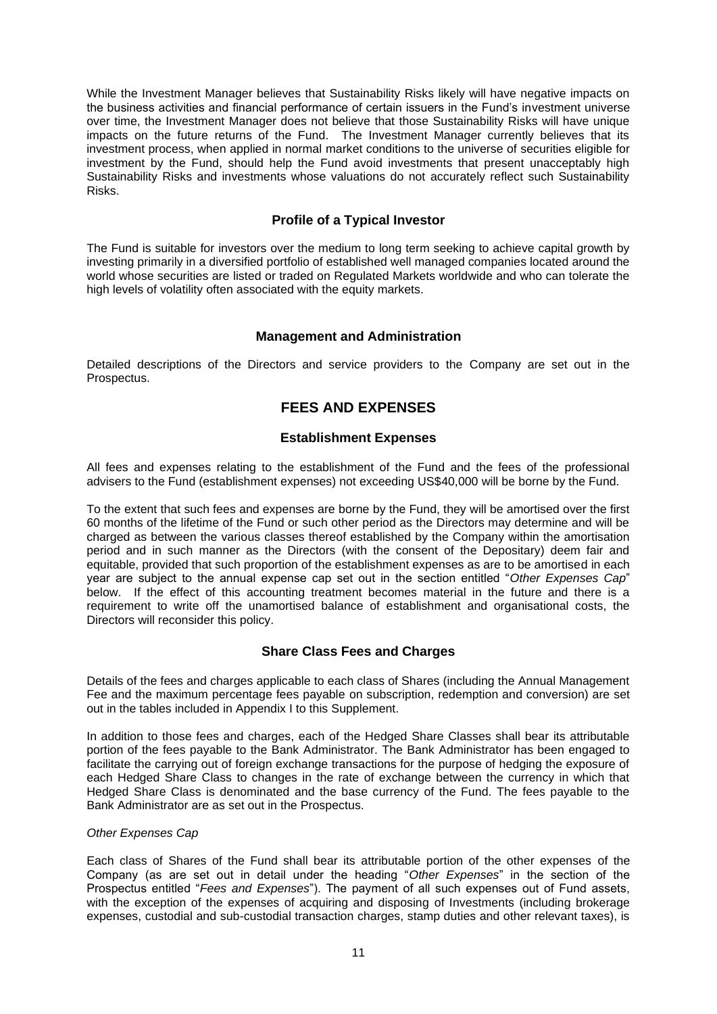While the Investment Manager believes that Sustainability Risks likely will have negative impacts on the business activities and financial performance of certain issuers in the Fund's investment universe over time, the Investment Manager does not believe that those Sustainability Risks will have unique impacts on the future returns of the Fund. The Investment Manager currently believes that its investment process, when applied in normal market conditions to the universe of securities eligible for investment by the Fund, should help the Fund avoid investments that present unacceptably high Sustainability Risks and investments whose valuations do not accurately reflect such Sustainability Risks.

## **Profile of a Typical Investor**

The Fund is suitable for investors over the medium to long term seeking to achieve capital growth by investing primarily in a diversified portfolio of established well managed companies located around the world whose securities are listed or traded on Regulated Markets worldwide and who can tolerate the high levels of volatility often associated with the equity markets.

## **Management and Administration**

Detailed descriptions of the Directors and service providers to the Company are set out in the Prospectus.

## **FEES AND EXPENSES**

## **Establishment Expenses**

All fees and expenses relating to the establishment of the Fund and the fees of the professional advisers to the Fund (establishment expenses) not exceeding US\$40,000 will be borne by the Fund.

To the extent that such fees and expenses are borne by the Fund, they will be amortised over the first 60 months of the lifetime of the Fund or such other period as the Directors may determine and will be charged as between the various classes thereof established by the Company within the amortisation period and in such manner as the Directors (with the consent of the Depositary) deem fair and equitable, provided that such proportion of the establishment expenses as are to be amortised in each year are subject to the annual expense cap set out in the section entitled "*Other Expenses Cap*" below. If the effect of this accounting treatment becomes material in the future and there is a requirement to write off the unamortised balance of establishment and organisational costs, the Directors will reconsider this policy.

## **Share Class Fees and Charges**

Details of the fees and charges applicable to each class of Shares (including the Annual Management Fee and the maximum percentage fees payable on subscription, redemption and conversion) are set out in the tables included in Appendix I to this Supplement.

In addition to those fees and charges, each of the Hedged Share Classes shall bear its attributable portion of the fees payable to the Bank Administrator. The Bank Administrator has been engaged to facilitate the carrying out of foreign exchange transactions for the purpose of hedging the exposure of each Hedged Share Class to changes in the rate of exchange between the currency in which that Hedged Share Class is denominated and the base currency of the Fund. The fees payable to the Bank Administrator are as set out in the Prospectus.

#### *Other Expenses Cap*

Each class of Shares of the Fund shall bear its attributable portion of the other expenses of the Company (as are set out in detail under the heading "*Other Expenses*" in the section of the Prospectus entitled "*Fees and Expenses*"). The payment of all such expenses out of Fund assets, with the exception of the expenses of acquiring and disposing of Investments (including brokerage expenses, custodial and sub-custodial transaction charges, stamp duties and other relevant taxes), is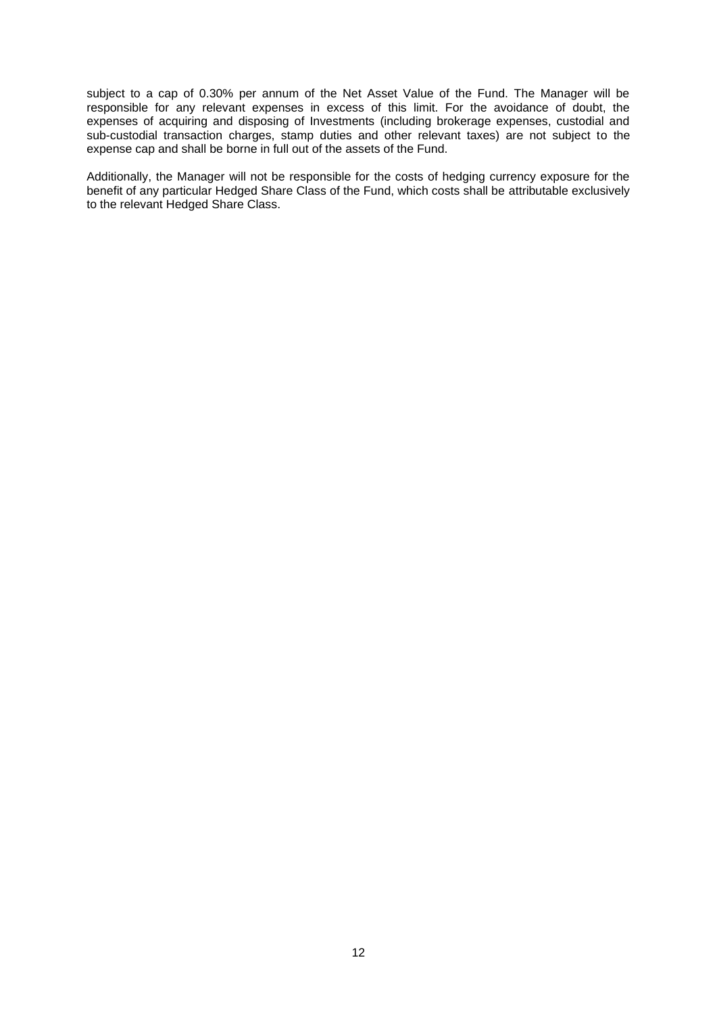subject to a cap of 0.30% per annum of the Net Asset Value of the Fund. The Manager will be responsible for any relevant expenses in excess of this limit. For the avoidance of doubt, the expenses of acquiring and disposing of Investments (including brokerage expenses, custodial and sub-custodial transaction charges, stamp duties and other relevant taxes) are not subject to the expense cap and shall be borne in full out of the assets of the Fund.

Additionally, the Manager will not be responsible for the costs of hedging currency exposure for the benefit of any particular Hedged Share Class of the Fund, which costs shall be attributable exclusively to the relevant Hedged Share Class.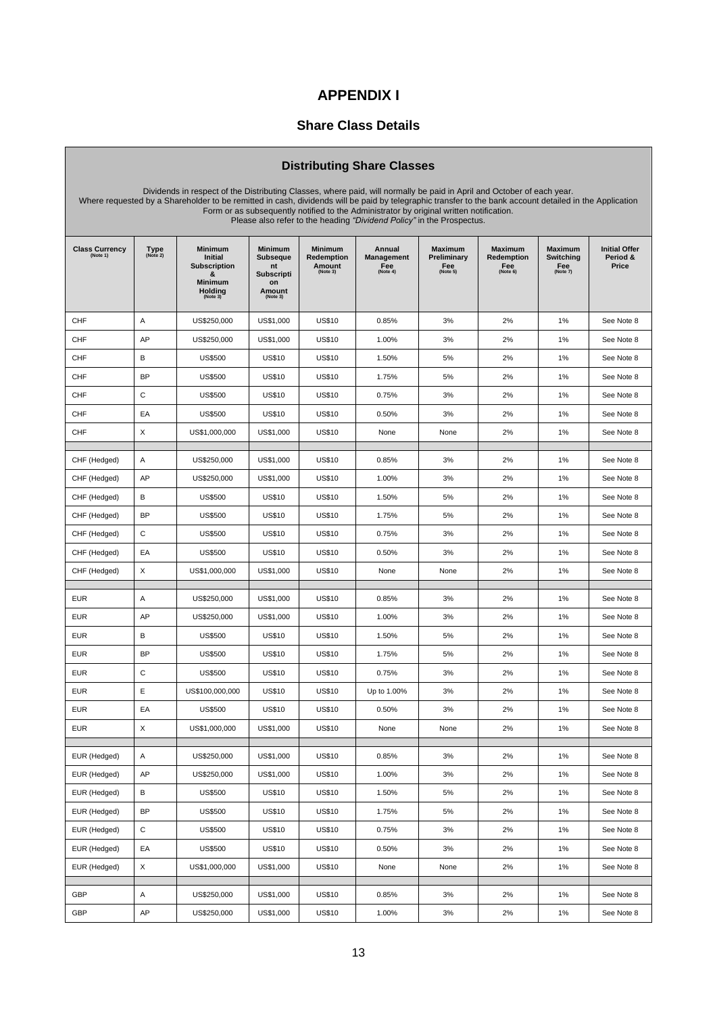## **APPENDIX I**

## **Share Class Details**

## **Distributing Share Classes**

| Dividends in respect of the Distributing Classes, where paid, will normally be paid in April and October of each year.<br>Where requested by a Shareholder to be remitted in cash, dividends will be paid by telegraphic transfer to the bank account detailed in the Application<br>Form or as subsequently notified to the Administrator by original written notification.<br>Please also refer to the heading "Dividend Policy" in the Prospectus. |                  |                                                                                                |                                                                                   |                                                    |                                         |                                                  |                                                 |                                                       |                                           |
|-------------------------------------------------------------------------------------------------------------------------------------------------------------------------------------------------------------------------------------------------------------------------------------------------------------------------------------------------------------------------------------------------------------------------------------------------------|------------------|------------------------------------------------------------------------------------------------|-----------------------------------------------------------------------------------|----------------------------------------------------|-----------------------------------------|--------------------------------------------------|-------------------------------------------------|-------------------------------------------------------|-------------------------------------------|
| <b>Class Currency</b><br>(Note 1)                                                                                                                                                                                                                                                                                                                                                                                                                     | Type<br>(Note 2) | <b>Minimum</b><br>Initial<br><b>Subscription</b><br>&<br><b>Minimum</b><br>Holding<br>(Note 3) | <b>Minimum</b><br><b>Subseque</b><br>nt<br>Subscripti<br>on<br>Amount<br>(Note 3) | <b>Minimum</b><br>Redemption<br>Amount<br>(Note 3) | Annual<br>Management<br>Fee<br>(Note 4) | <b>Maximum</b><br>Preliminary<br>Fee<br>(Note 5) | <b>Maximum</b><br>Redemption<br>Fee<br>(Note 6) | <b>Maximum</b><br><b>Switching</b><br>Fee<br>(Note 7) | <b>Initial Offer</b><br>Period &<br>Price |
| <b>CHF</b>                                                                                                                                                                                                                                                                                                                                                                                                                                            | A                | US\$250,000                                                                                    | US\$1,000                                                                         | <b>US\$10</b>                                      | 0.85%                                   | 3%                                               | 2%                                              | 1%                                                    | See Note 8                                |
| <b>CHF</b>                                                                                                                                                                                                                                                                                                                                                                                                                                            | AP               | US\$250,000                                                                                    | US\$1,000                                                                         | <b>US\$10</b>                                      | 1.00%                                   | 3%                                               | 2%                                              | 1%                                                    | See Note 8                                |
| CHF                                                                                                                                                                                                                                                                                                                                                                                                                                                   | B                | <b>US\$500</b>                                                                                 | <b>US\$10</b>                                                                     | <b>US\$10</b>                                      | 1.50%                                   | 5%                                               | 2%                                              | 1%                                                    | See Note 8                                |
| <b>CHF</b>                                                                                                                                                                                                                                                                                                                                                                                                                                            | BP               | <b>US\$500</b>                                                                                 | <b>US\$10</b>                                                                     | <b>US\$10</b>                                      | 1.75%                                   | 5%                                               | 2%                                              | 1%                                                    | See Note 8                                |
| CHF                                                                                                                                                                                                                                                                                                                                                                                                                                                   | C                | <b>US\$500</b>                                                                                 | <b>US\$10</b>                                                                     | <b>US\$10</b>                                      | 0.75%                                   | 3%                                               | 2%                                              | 1%                                                    | See Note 8                                |
| <b>CHF</b>                                                                                                                                                                                                                                                                                                                                                                                                                                            | EA               | <b>US\$500</b>                                                                                 | <b>US\$10</b>                                                                     | <b>US\$10</b>                                      | 0.50%                                   | 3%                                               | 2%                                              | 1%                                                    | See Note 8                                |
| <b>CHF</b>                                                                                                                                                                                                                                                                                                                                                                                                                                            | X                | US\$1,000,000                                                                                  | US\$1,000                                                                         | <b>US\$10</b>                                      | None                                    | None                                             | 2%                                              | 1%                                                    | See Note 8                                |
| CHF (Hedged)                                                                                                                                                                                                                                                                                                                                                                                                                                          | Α                | US\$250,000                                                                                    | US\$1,000                                                                         | <b>US\$10</b>                                      | 0.85%                                   | 3%                                               | 2%                                              | 1%                                                    | See Note 8                                |
| CHF (Hedged)                                                                                                                                                                                                                                                                                                                                                                                                                                          | AP               | US\$250,000                                                                                    | US\$1,000                                                                         | <b>US\$10</b>                                      | 1.00%                                   | 3%                                               | 2%                                              | 1%                                                    | See Note 8                                |
| CHF (Hedged)                                                                                                                                                                                                                                                                                                                                                                                                                                          | B                | <b>US\$500</b>                                                                                 | <b>US\$10</b>                                                                     | <b>US\$10</b>                                      | 1.50%                                   | 5%                                               | 2%                                              | 1%                                                    | See Note 8                                |
| CHF (Hedged)                                                                                                                                                                                                                                                                                                                                                                                                                                          | <b>BP</b>        | <b>US\$500</b>                                                                                 | <b>US\$10</b>                                                                     | <b>US\$10</b>                                      | 1.75%                                   | 5%                                               | 2%                                              | 1%                                                    | See Note 8                                |
| CHF (Hedged)                                                                                                                                                                                                                                                                                                                                                                                                                                          | C                | <b>US\$500</b>                                                                                 | <b>US\$10</b>                                                                     | <b>US\$10</b>                                      | 0.75%                                   | 3%                                               | 2%                                              | 1%                                                    | See Note 8                                |
| CHF (Hedged)                                                                                                                                                                                                                                                                                                                                                                                                                                          | EA               | <b>US\$500</b>                                                                                 | <b>US\$10</b>                                                                     | <b>US\$10</b>                                      | 0.50%                                   | 3%                                               | 2%                                              | 1%                                                    | See Note 8                                |
| CHF (Hedged)                                                                                                                                                                                                                                                                                                                                                                                                                                          | X                | US\$1,000,000                                                                                  | US\$1,000                                                                         | <b>US\$10</b>                                      | None                                    | None                                             | 2%                                              | 1%                                                    | See Note 8                                |
| <b>EUR</b>                                                                                                                                                                                                                                                                                                                                                                                                                                            | Α                | US\$250,000                                                                                    | US\$1,000                                                                         | <b>US\$10</b>                                      | 0.85%                                   | 3%                                               | 2%                                              | 1%                                                    | See Note 8                                |
| <b>EUR</b>                                                                                                                                                                                                                                                                                                                                                                                                                                            | AP               | US\$250,000                                                                                    | US\$1,000                                                                         | <b>US\$10</b>                                      | 1.00%                                   | 3%                                               | 2%                                              | 1%                                                    | See Note 8                                |
| <b>EUR</b>                                                                                                                                                                                                                                                                                                                                                                                                                                            | В                | <b>US\$500</b>                                                                                 | <b>US\$10</b>                                                                     | <b>US\$10</b>                                      | 1.50%                                   | 5%                                               | 2%                                              | 1%                                                    | See Note 8                                |
| <b>EUR</b>                                                                                                                                                                                                                                                                                                                                                                                                                                            | <b>BP</b>        | <b>US\$500</b>                                                                                 | <b>US\$10</b>                                                                     | <b>US\$10</b>                                      | 1.75%                                   | 5%                                               | 2%                                              | 1%                                                    | See Note 8                                |
| <b>EUR</b>                                                                                                                                                                                                                                                                                                                                                                                                                                            | C                | <b>US\$500</b>                                                                                 | <b>US\$10</b>                                                                     | <b>US\$10</b>                                      | 0.75%                                   | 3%                                               | 2%                                              | 1%                                                    | See Note 8                                |
| <b>EUR</b>                                                                                                                                                                                                                                                                                                                                                                                                                                            | Ε                | US\$100,000,000                                                                                | <b>US\$10</b>                                                                     | <b>US\$10</b>                                      | Up to 1.00%                             | 3%                                               | 2%                                              | 1%                                                    | See Note 8                                |
| <b>EUR</b>                                                                                                                                                                                                                                                                                                                                                                                                                                            | EA               | <b>US\$500</b>                                                                                 | <b>US\$10</b>                                                                     | <b>US\$10</b>                                      | 0.50%                                   | 3%                                               | 2%                                              | 1%                                                    | See Note 8                                |
| <b>EUR</b>                                                                                                                                                                                                                                                                                                                                                                                                                                            | X                | US\$1,000,000                                                                                  | US\$1,000                                                                         | <b>US\$10</b>                                      | None                                    | None                                             | 2%                                              | 1%                                                    | See Note 8                                |
| EUR (Hedged)                                                                                                                                                                                                                                                                                                                                                                                                                                          | Α                | US\$250,000                                                                                    | US\$1,000                                                                         | <b>US\$10</b>                                      | 0.85%                                   | 3%                                               | 2%                                              | 1%                                                    | See Note 8                                |
| EUR (Hedged)                                                                                                                                                                                                                                                                                                                                                                                                                                          | AP               | US\$250,000                                                                                    | US\$1,000                                                                         | <b>US\$10</b>                                      | 1.00%                                   | 3%                                               | 2%                                              | 1%                                                    | See Note 8                                |
| EUR (Hedged)                                                                                                                                                                                                                                                                                                                                                                                                                                          | В                | US\$500                                                                                        | <b>US\$10</b>                                                                     | <b>US\$10</b>                                      | 1.50%                                   | 5%                                               | 2%                                              | 1%                                                    | See Note 8                                |
| EUR (Hedged)                                                                                                                                                                                                                                                                                                                                                                                                                                          | <b>BP</b>        | US\$500                                                                                        | <b>US\$10</b>                                                                     | <b>US\$10</b>                                      | 1.75%                                   | 5%                                               | 2%                                              | 1%                                                    | See Note 8                                |
| EUR (Hedged)                                                                                                                                                                                                                                                                                                                                                                                                                                          | C                | US\$500                                                                                        | <b>US\$10</b>                                                                     | <b>US\$10</b>                                      | 0.75%                                   | 3%                                               | 2%                                              | 1%                                                    | See Note 8                                |
| EUR (Hedged)                                                                                                                                                                                                                                                                                                                                                                                                                                          | EA               | US\$500                                                                                        | <b>US\$10</b>                                                                     | <b>US\$10</b>                                      | 0.50%                                   | 3%                                               | 2%                                              | 1%                                                    | See Note 8                                |
| EUR (Hedged)                                                                                                                                                                                                                                                                                                                                                                                                                                          | X                | US\$1,000,000                                                                                  | US\$1,000                                                                         | <b>US\$10</b>                                      | None                                    | None                                             | 2%                                              | 1%                                                    | See Note 8                                |
|                                                                                                                                                                                                                                                                                                                                                                                                                                                       |                  |                                                                                                |                                                                                   |                                                    |                                         |                                                  |                                                 |                                                       |                                           |
| GBP                                                                                                                                                                                                                                                                                                                                                                                                                                                   | Α                | US\$250,000                                                                                    | US\$1,000                                                                         | <b>US\$10</b>                                      | 0.85%                                   | 3%                                               | 2%                                              | 1%                                                    | See Note 8                                |
| GBP                                                                                                                                                                                                                                                                                                                                                                                                                                                   | AP               | US\$250,000                                                                                    | US\$1,000                                                                         | <b>US\$10</b>                                      | 1.00%                                   | 3%                                               | 2%                                              | 1%                                                    | See Note 8                                |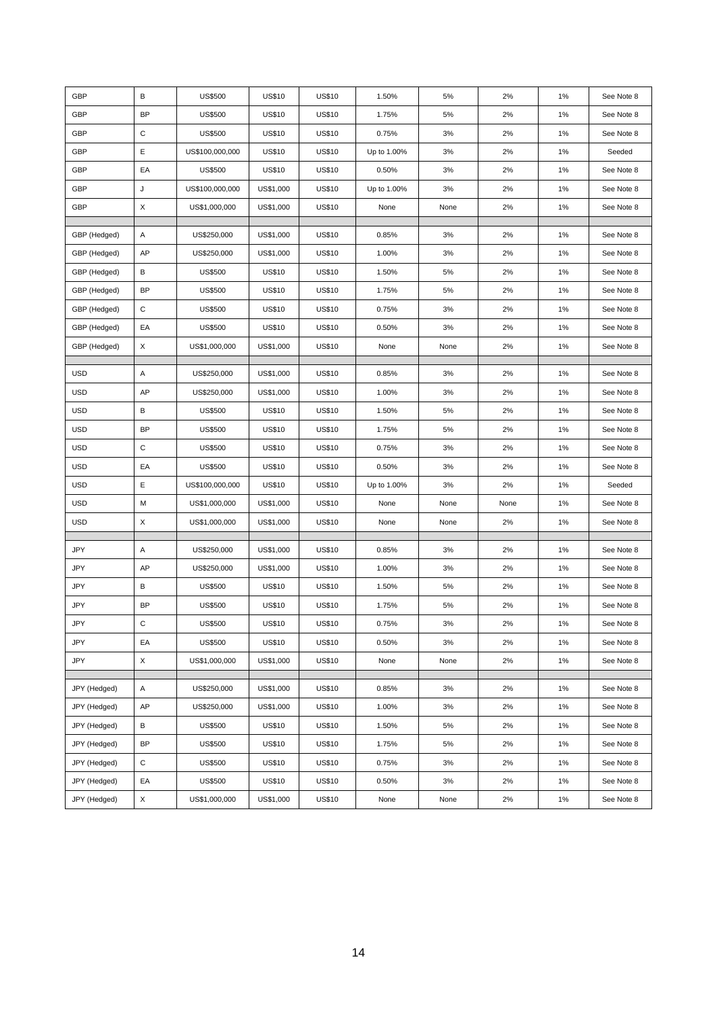| GBP          | В           | US\$500         | <b>US\$10</b> | <b>US\$10</b> | 1.50%       | 5%   | 2%   | 1% | See Note 8 |
|--------------|-------------|-----------------|---------------|---------------|-------------|------|------|----|------------|
| GBP          | BP          | <b>US\$500</b>  | <b>US\$10</b> | <b>US\$10</b> | 1.75%       | 5%   | 2%   | 1% | See Note 8 |
| GBP          | C           | <b>US\$500</b>  | <b>US\$10</b> | <b>US\$10</b> | 0.75%       | 3%   | 2%   | 1% | See Note 8 |
| GBP          | Е           | US\$100,000,000 | <b>US\$10</b> | <b>US\$10</b> | Up to 1.00% | 3%   | 2%   | 1% | Seeded     |
| GBP          | EA          | <b>US\$500</b>  | <b>US\$10</b> | <b>US\$10</b> | 0.50%       | 3%   | 2%   | 1% | See Note 8 |
| GBP          | J           | US\$100,000,000 | US\$1,000     | <b>US\$10</b> | Up to 1.00% | 3%   | 2%   | 1% | See Note 8 |
| GBP          | $\mathsf X$ | US\$1,000,000   | US\$1,000     | <b>US\$10</b> | None        | None | 2%   | 1% | See Note 8 |
| GBP (Hedged) | Α           | US\$250,000     | US\$1,000     | <b>US\$10</b> | 0.85%       | 3%   | 2%   | 1% | See Note 8 |
| GBP (Hedged) | AP          | US\$250,000     | US\$1,000     | <b>US\$10</b> | 1.00%       | 3%   | 2%   | 1% | See Note 8 |
| GBP (Hedged) | В           | <b>US\$500</b>  | <b>US\$10</b> | <b>US\$10</b> | 1.50%       | 5%   | 2%   | 1% | See Note 8 |
| GBP (Hedged) | BP          | <b>US\$500</b>  | <b>US\$10</b> | <b>US\$10</b> | 1.75%       | 5%   | 2%   | 1% | See Note 8 |
| GBP (Hedged) | $\mathbf C$ | <b>US\$500</b>  | <b>US\$10</b> | <b>US\$10</b> | 0.75%       | 3%   | 2%   | 1% | See Note 8 |
| GBP (Hedged) | EA          | <b>US\$500</b>  | <b>US\$10</b> | <b>US\$10</b> | 0.50%       | 3%   | 2%   | 1% | See Note 8 |
| GBP (Hedged) | X           | US\$1,000,000   | US\$1,000     | <b>US\$10</b> | None        | None | 2%   | 1% | See Note 8 |
|              |             |                 |               |               |             |      |      |    |            |
| <b>USD</b>   | Α           | US\$250,000     | US\$1,000     | <b>US\$10</b> | 0.85%       | 3%   | 2%   | 1% | See Note 8 |
| <b>USD</b>   | AP          | US\$250,000     | US\$1,000     | <b>US\$10</b> | 1.00%       | 3%   | 2%   | 1% | See Note 8 |
| <b>USD</b>   | В           | <b>US\$500</b>  | <b>US\$10</b> | <b>US\$10</b> | 1.50%       | 5%   | 2%   | 1% | See Note 8 |
| USD          | BP          | <b>US\$500</b>  | <b>US\$10</b> | <b>US\$10</b> | 1.75%       | 5%   | 2%   | 1% | See Note 8 |
| USD          | C           | <b>US\$500</b>  | <b>US\$10</b> | <b>US\$10</b> | 0.75%       | 3%   | 2%   | 1% | See Note 8 |
| <b>USD</b>   | EA          | <b>US\$500</b>  | <b>US\$10</b> | <b>US\$10</b> | 0.50%       | 3%   | 2%   | 1% | See Note 8 |
| USD          | Е           | US\$100,000,000 | <b>US\$10</b> | <b>US\$10</b> | Up to 1.00% | 3%   | 2%   | 1% | Seeded     |
| USD          | M           | US\$1,000,000   | US\$1,000     | <b>US\$10</b> | None        | None | None | 1% | See Note 8 |
| <b>USD</b>   | X           | US\$1,000,000   | US\$1,000     | <b>US\$10</b> | None        | None | 2%   | 1% | See Note 8 |
|              | Α           | US\$250,000     | US\$1,000     | <b>US\$10</b> | 0.85%       | 3%   | 2%   | 1% |            |
| JPY          |             |                 |               |               |             |      |      |    | See Note 8 |
| JPY          | AP<br>в     | US\$250,000     | US\$1,000     | <b>US\$10</b> | 1.00%       | 3%   | 2%   | 1% | See Note 8 |
| JPY          |             | <b>US\$500</b>  | <b>US\$10</b> | <b>US\$10</b> | 1.50%       | 5%   | 2%   | 1% | See Note 8 |
| <b>JPY</b>   | <b>BP</b>   | <b>US\$500</b>  | <b>US\$10</b> | <b>US\$10</b> | 1.75%       | 5%   | 2%   | 1% | See Note 8 |
| JPY          | С           | US\$500         | <b>US\$10</b> | US\$10        | 0.75%       | 3%   | 2%   | 1% | See Note 8 |
| JPY          | EA          | US\$500         | <b>US\$10</b> | <b>US\$10</b> | 0.50%       | 3%   | 2%   | 1% | See Note 8 |
| JPY          | $\mathsf X$ | US\$1,000,000   | US\$1,000     | <b>US\$10</b> | None        | None | 2%   | 1% | See Note 8 |
| JPY (Hedged) | Α           | US\$250,000     | US\$1,000     | <b>US\$10</b> | 0.85%       | 3%   | 2%   | 1% | See Note 8 |
| JPY (Hedged) | AP          | US\$250,000     | US\$1,000     | <b>US\$10</b> | 1.00%       | 3%   | 2%   | 1% | See Note 8 |
| JPY (Hedged) | В           | <b>US\$500</b>  | <b>US\$10</b> | <b>US\$10</b> | 1.50%       | 5%   | 2%   | 1% | See Note 8 |
| JPY (Hedged) | <b>BP</b>   | <b>US\$500</b>  | <b>US\$10</b> | <b>US\$10</b> | 1.75%       | 5%   | 2%   | 1% | See Note 8 |
| JPY (Hedged) | С           | <b>US\$500</b>  | <b>US\$10</b> | <b>US\$10</b> | 0.75%       | 3%   | 2%   | 1% | See Note 8 |
| JPY (Hedged) | EA          | <b>US\$500</b>  | <b>US\$10</b> | <b>US\$10</b> | 0.50%       | 3%   | 2%   | 1% | See Note 8 |
| JPY (Hedged) | X           | US\$1,000,000   | US\$1,000     | <b>US\$10</b> | None        | None | 2%   | 1% | See Note 8 |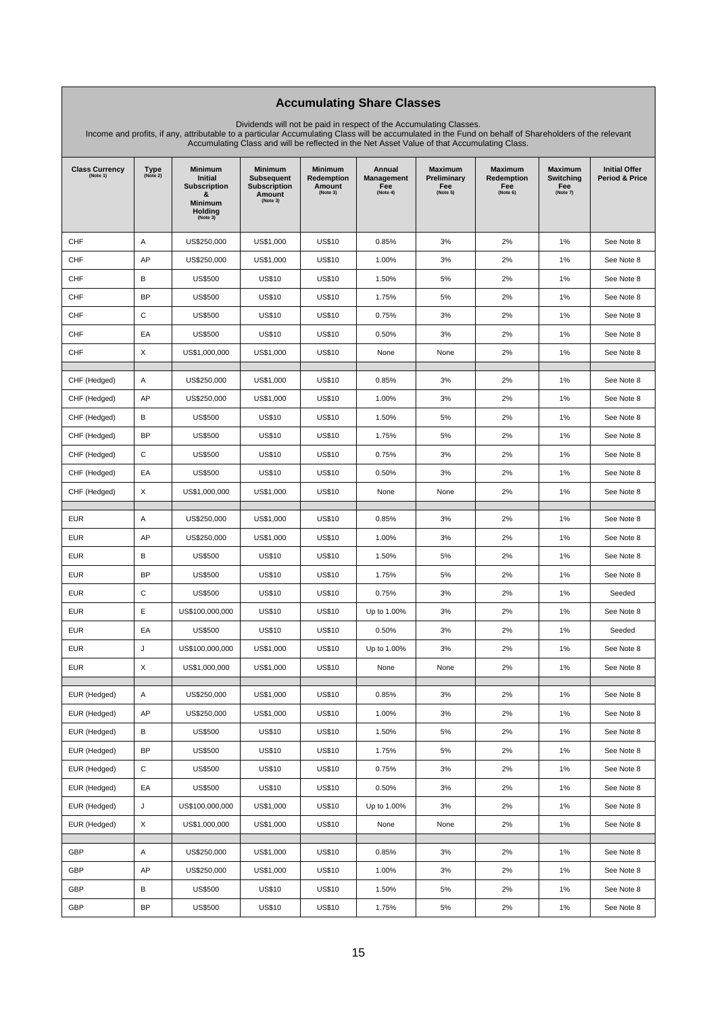### **Accumulating Share Classes**

Dividends will not be paid in respect of the Accumulating Classes. Income and profits, if any, attributable to a particular Accumulating Class will be accumulated in the Fund on behalf of Shareholders of the relevant Accumulating Class and will be reflected in the Net Asset Value of that Accumulating Class.

| <b>Class Currency</b><br>(Note 1) | Type<br>(Note 2) | <b>Minimum</b><br>Initial<br><b>Subscription</b><br>&<br>Minimum<br><b>Holding</b><br>(Note 3) | <b>Minimum</b><br><b>Subsequent</b><br><b>Subscription</b><br>Amount<br>(Note 3) | <b>Minimum</b><br>Redemption<br>Amount<br>(Note 3) | Annual<br>Management<br>Fee<br>(Note 4) | Maximum<br>Preliminary<br>Fee<br>(Note 5) | Maximum<br>Redemption<br>Fee<br>(Note 6) | Maximum<br>Switching<br>Fee<br>(Note 7) | <b>Initial Offer</b><br>Period & Price |
|-----------------------------------|------------------|------------------------------------------------------------------------------------------------|----------------------------------------------------------------------------------|----------------------------------------------------|-----------------------------------------|-------------------------------------------|------------------------------------------|-----------------------------------------|----------------------------------------|
| CHF                               | Α                | US\$250,000                                                                                    | US\$1,000                                                                        | <b>US\$10</b>                                      | 0.85%                                   | 3%                                        | 2%                                       | 1%                                      | See Note 8                             |
| <b>CHF</b>                        | AP               | US\$250,000                                                                                    | US\$1,000                                                                        | <b>US\$10</b>                                      | 1.00%                                   | 3%                                        | 2%                                       | 1%                                      | See Note 8                             |
| CHF                               | В                | US\$500                                                                                        | <b>US\$10</b>                                                                    | <b>US\$10</b>                                      | 1.50%                                   | 5%                                        | 2%                                       | 1%                                      | See Note 8                             |
| CHF                               | <b>BP</b>        | <b>US\$500</b>                                                                                 | <b>US\$10</b>                                                                    | <b>US\$10</b>                                      | 1.75%                                   | 5%                                        | 2%                                       | 1%                                      | See Note 8                             |
| CHF                               | С                | US\$500                                                                                        | <b>US\$10</b>                                                                    | <b>US\$10</b>                                      | 0.75%                                   | 3%                                        | 2%                                       | 1%                                      | See Note 8                             |
| CHF                               | EA               | US\$500                                                                                        | <b>US\$10</b>                                                                    | <b>US\$10</b>                                      | 0.50%                                   | 3%                                        | 2%                                       | 1%                                      | See Note 8                             |
| <b>CHF</b>                        | X                | US\$1,000,000                                                                                  | US\$1,000                                                                        | <b>US\$10</b>                                      | None                                    | None                                      | 2%                                       | 1%                                      | See Note 8                             |
| CHF (Hedged)                      | Α                | US\$250,000                                                                                    | US\$1,000                                                                        | <b>US\$10</b>                                      | 0.85%                                   | 3%                                        | 2%                                       | 1%                                      | See Note 8                             |
| CHF (Hedged)                      | AP               | US\$250,000                                                                                    | US\$1,000                                                                        | <b>US\$10</b>                                      | 1.00%                                   | 3%                                        | 2%                                       | 1%                                      | See Note 8                             |
| CHF (Hedged)                      | В                | US\$500                                                                                        | <b>US\$10</b>                                                                    | <b>US\$10</b>                                      | 1.50%                                   | 5%                                        | 2%                                       | 1%                                      | See Note 8                             |
| CHF (Hedged)                      | <b>BP</b>        | <b>US\$500</b>                                                                                 | <b>US\$10</b>                                                                    | <b>US\$10</b>                                      | 1.75%                                   | 5%                                        | 2%                                       | 1%                                      | See Note 8                             |
| CHF (Hedged)                      | С                | <b>US\$500</b>                                                                                 | <b>US\$10</b>                                                                    | <b>US\$10</b>                                      | 0.75%                                   | 3%                                        | 2%                                       | 1%                                      | See Note 8                             |
| CHF (Hedged)                      | EA               | US\$500                                                                                        | <b>US\$10</b>                                                                    | <b>US\$10</b>                                      | 0.50%                                   | 3%                                        | 2%                                       | 1%                                      | See Note 8                             |
| CHF (Hedged)                      | X                | US\$1,000,000                                                                                  | US\$1,000                                                                        | <b>US\$10</b>                                      | None                                    | None                                      | 2%                                       | 1%                                      | See Note 8                             |
| <b>EUR</b>                        | Α                | US\$250,000                                                                                    | US\$1,000                                                                        | <b>US\$10</b>                                      | 0.85%                                   | 3%                                        | 2%                                       | 1%                                      | See Note 8                             |
| <b>EUR</b>                        | AP               | US\$250,000                                                                                    | US\$1,000                                                                        | <b>US\$10</b>                                      | 1.00%                                   | 3%                                        | 2%                                       | 1%                                      | See Note 8                             |
| <b>EUR</b>                        | В                | US\$500                                                                                        | <b>US\$10</b>                                                                    | <b>US\$10</b>                                      | 1.50%                                   | 5%                                        | 2%                                       | 1%                                      | See Note 8                             |
| <b>EUR</b>                        | <b>BP</b>        | US\$500                                                                                        | <b>US\$10</b>                                                                    | <b>US\$10</b>                                      | 1.75%                                   | 5%                                        | 2%                                       | 1%                                      | See Note 8                             |
| <b>EUR</b>                        | C                | <b>US\$500</b>                                                                                 | <b>US\$10</b>                                                                    | <b>US\$10</b>                                      | 0.75%                                   | 3%                                        | 2%                                       | 1%                                      | Seeded                                 |
| <b>EUR</b>                        | Ε                | US\$100,000,000                                                                                | <b>US\$10</b>                                                                    | <b>US\$10</b>                                      | Up to 1.00%                             | 3%                                        | 2%                                       | 1%                                      | See Note 8                             |
| <b>EUR</b>                        | EA               | US\$500                                                                                        | <b>US\$10</b>                                                                    | <b>US\$10</b>                                      | 0.50%                                   | 3%                                        | 2%                                       | 1%                                      | Seeded                                 |
| <b>EUR</b>                        | J                | US\$100,000,000                                                                                | US\$1,000                                                                        | <b>US\$10</b>                                      | Up to 1.00%                             | 3%                                        | 2%                                       | 1%                                      | See Note 8                             |
| <b>EUR</b>                        | X                | US\$1,000,000                                                                                  | US\$1,000                                                                        | <b>US\$10</b>                                      | None                                    | None                                      | 2%                                       | 1%                                      | See Note 8                             |
| EUR (Hedged)                      | Α                | US\$250,000                                                                                    | US\$1,000                                                                        | <b>US\$10</b>                                      | 0.85%                                   | 3%                                        | 2%                                       | 1%                                      | See Note 8                             |
| EUR (Hedged)                      | AP               | US\$250,000                                                                                    | US\$1,000                                                                        | <b>US\$10</b>                                      | 1.00%                                   | 3%                                        | 2%                                       | 1%                                      | See Note 8                             |
| EUR (Hedged)                      | в                | <b>US\$500</b>                                                                                 | <b>US\$10</b>                                                                    | <b>US\$10</b>                                      | 1.50%                                   | 5%                                        | 2%                                       | $1\%$                                   | See Note 8                             |
| EUR (Hedged)                      | <b>BP</b>        | <b>US\$500</b>                                                                                 | <b>US\$10</b>                                                                    | <b>US\$10</b>                                      | 1.75%                                   | 5%                                        | 2%                                       | $1\%$                                   | See Note 8                             |
| EUR (Hedged)                      | С                | <b>US\$500</b>                                                                                 | <b>US\$10</b>                                                                    | <b>US\$10</b>                                      | 0.75%                                   | 3%                                        | 2%                                       | 1%                                      | See Note 8                             |
| EUR (Hedged)                      | EA               | <b>US\$500</b>                                                                                 | <b>US\$10</b>                                                                    | <b>US\$10</b>                                      | 0.50%                                   | 3%                                        | 2%                                       | 1%                                      | See Note 8                             |
| EUR (Hedged)                      | J                | US\$100,000,000                                                                                | US\$1,000                                                                        | <b>US\$10</b>                                      | Up to 1.00%                             | 3%                                        | 2%                                       | 1%                                      | See Note 8                             |
| EUR (Hedged)                      | X                | US\$1,000,000                                                                                  | US\$1,000                                                                        | <b>US\$10</b>                                      | None                                    | None                                      | 2%                                       | 1%                                      | See Note 8                             |
| GBP                               | Α                | US\$250,000                                                                                    | US\$1,000                                                                        | <b>US\$10</b>                                      | 0.85%                                   | 3%                                        | 2%                                       | $1\%$                                   | See Note 8                             |
| GBP                               | AP               | US\$250,000                                                                                    | US\$1,000                                                                        | <b>US\$10</b>                                      | 1.00%                                   | 3%                                        | 2%                                       | $1\%$                                   | See Note 8                             |
| GBP                               | в                | <b>US\$500</b>                                                                                 | <b>US\$10</b>                                                                    | <b>US\$10</b>                                      | 1.50%                                   | 5%                                        | 2%                                       | 1%                                      | See Note 8                             |
| GBP                               | <b>BP</b>        | <b>US\$500</b>                                                                                 | <b>US\$10</b>                                                                    | <b>US\$10</b>                                      | 1.75%                                   | 5%                                        | 2%                                       | $1\%$                                   | See Note 8                             |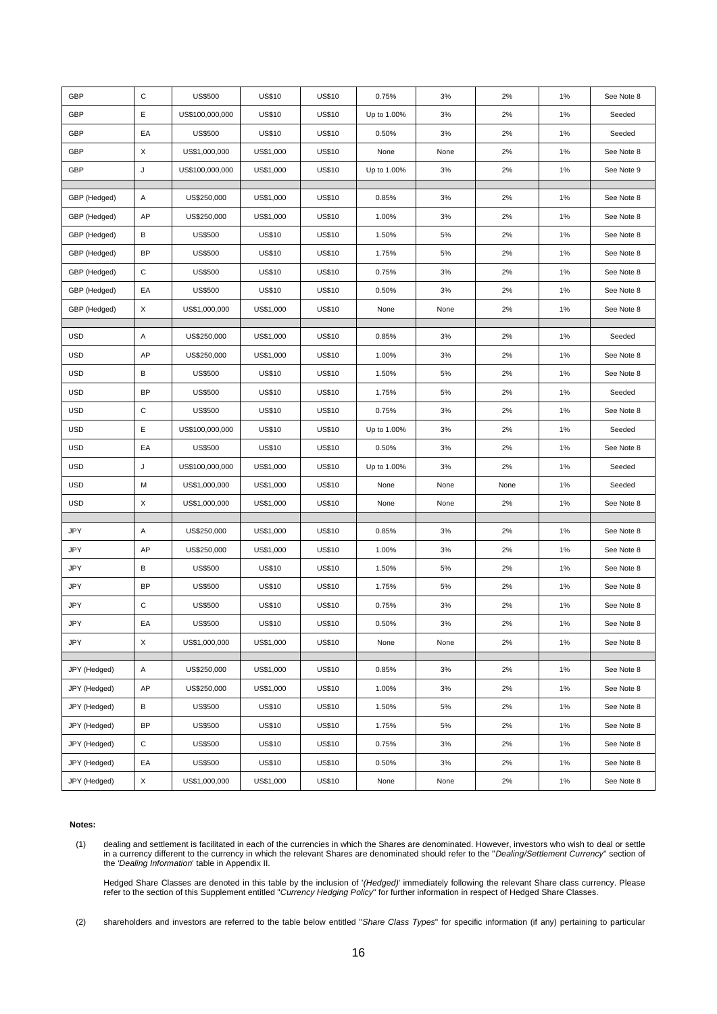| GBP          | $\mathbf C$ | <b>US\$500</b>  | <b>US\$10</b> | <b>US\$10</b> | 0.75%       | 3%   | 2%   | 1%    | See Note 8 |
|--------------|-------------|-----------------|---------------|---------------|-------------|------|------|-------|------------|
| GBP          | E           | US\$100,000,000 | <b>US\$10</b> | <b>US\$10</b> | Up to 1.00% | 3%   | 2%   | 1%    | Seeded     |
| GBP          | EA          | <b>US\$500</b>  | <b>US\$10</b> | <b>US\$10</b> | 0.50%       | 3%   | 2%   | $1\%$ | Seeded     |
| GBP          | X           | US\$1,000,000   | US\$1,000     | <b>US\$10</b> | None        | None | 2%   | 1%    | See Note 8 |
| GBP          | J           | US\$100,000,000 | US\$1,000     | <b>US\$10</b> | Up to 1.00% | 3%   | 2%   | 1%    | See Note 9 |
|              |             |                 |               |               |             |      |      |       |            |
| GBP (Hedged) | Α           | US\$250,000     | US\$1,000     | <b>US\$10</b> | 0.85%       | 3%   | 2%   | 1%    | See Note 8 |
| GBP (Hedged) | AP          | US\$250,000     | US\$1,000     | <b>US\$10</b> | 1.00%       | 3%   | 2%   | 1%    | See Note 8 |
| GBP (Hedged) | В           | <b>US\$500</b>  | <b>US\$10</b> | <b>US\$10</b> | 1.50%       | 5%   | 2%   | 1%    | See Note 8 |
| GBP (Hedged) | <b>BP</b>   | <b>US\$500</b>  | <b>US\$10</b> | <b>US\$10</b> | 1.75%       | 5%   | 2%   | 1%    | See Note 8 |
| GBP (Hedged) | С           | <b>US\$500</b>  | <b>US\$10</b> | <b>US\$10</b> | 0.75%       | 3%   | 2%   | 1%    | See Note 8 |
| GBP (Hedged) | EA          | <b>US\$500</b>  | <b>US\$10</b> | <b>US\$10</b> | 0.50%       | 3%   | 2%   | 1%    | See Note 8 |
| GBP (Hedged) | X           | US\$1,000,000   | US\$1,000     | <b>US\$10</b> | None        | None | 2%   | 1%    | See Note 8 |
| <b>USD</b>   | Α           | US\$250,000     | US\$1,000     | <b>US\$10</b> | 0.85%       | 3%   | 2%   | 1%    | Seeded     |
| <b>USD</b>   | AP          | US\$250,000     | US\$1,000     | <b>US\$10</b> | 1.00%       | 3%   | 2%   | 1%    | See Note 8 |
| <b>USD</b>   | B           | <b>US\$500</b>  | <b>US\$10</b> | <b>US\$10</b> | 1.50%       | 5%   | 2%   | 1%    | See Note 8 |
| <b>USD</b>   | <b>BP</b>   | <b>US\$500</b>  | <b>US\$10</b> | <b>US\$10</b> | 1.75%       | 5%   | 2%   | 1%    | Seeded     |
| <b>USD</b>   | $\mathbf C$ | <b>US\$500</b>  | <b>US\$10</b> | <b>US\$10</b> | 0.75%       | 3%   | 2%   | 1%    | See Note 8 |
| <b>USD</b>   | Ε           | US\$100,000,000 | <b>US\$10</b> | <b>US\$10</b> | Up to 1.00% | 3%   | 2%   | 1%    | Seeded     |
| <b>USD</b>   | EA          | <b>US\$500</b>  | <b>US\$10</b> | <b>US\$10</b> | 0.50%       | 3%   | 2%   | 1%    | See Note 8 |
| <b>USD</b>   | J           | US\$100,000,000 | US\$1,000     | <b>US\$10</b> | Up to 1.00% | 3%   | 2%   | 1%    | Seeded     |
| <b>USD</b>   | M           | US\$1,000,000   | US\$1,000     | <b>US\$10</b> | None        | None | None | 1%    | Seeded     |
| <b>USD</b>   | X           | US\$1,000,000   | US\$1,000     | <b>US\$10</b> | None        | None | 2%   | 1%    | See Note 8 |
|              |             |                 |               |               |             |      |      |       |            |
| JPY          | Α           | US\$250,000     | US\$1,000     | <b>US\$10</b> | 0.85%       | 3%   | 2%   | 1%    | See Note 8 |
| JPY          | AP          | US\$250,000     | US\$1,000     | <b>US\$10</b> | 1.00%       | 3%   | 2%   | 1%    | See Note 8 |
| JPY          | в           | <b>US\$500</b>  | <b>US\$10</b> | <b>US\$10</b> | 1.50%       | 5%   | 2%   | 1%    | See Note 8 |
| JPY          | <b>BP</b>   | <b>US\$500</b>  | <b>US\$10</b> | <b>US\$10</b> | 1.75%       | 5%   | 2%   | 1%    | See Note 8 |
| JPY          | C           | US\$500         | <b>US\$10</b> | <b>US\$10</b> | 0.75%       | 3%   | 2%   | 1%    | See Note 8 |
| JPY          | EA          | <b>US\$500</b>  | <b>US\$10</b> | <b>US\$10</b> | 0.50%       | 3%   | 2%   | $1\%$ | See Note 8 |
| JPY          | X           | US\$1,000,000   | US\$1,000     | <b>US\$10</b> | None        | None | 2%   | 1%    | See Note 8 |
| JPY (Hedged) | Α           | US\$250,000     | US\$1,000     | <b>US\$10</b> | 0.85%       | 3%   | 2%   | 1%    | See Note 8 |
| JPY (Hedged) | AP          | US\$250,000     | US\$1,000     | <b>US\$10</b> | 1.00%       | 3%   | 2%   | 1%    | See Note 8 |
| JPY (Hedged) | в           | <b>US\$500</b>  | <b>US\$10</b> | <b>US\$10</b> | 1.50%       | 5%   | 2%   | 1%    | See Note 8 |
| JPY (Hedged) | <b>BP</b>   | <b>US\$500</b>  | <b>US\$10</b> | <b>US\$10</b> | 1.75%       | 5%   | 2%   | $1\%$ | See Note 8 |
| JPY (Hedged) | С           | <b>US\$500</b>  | <b>US\$10</b> | <b>US\$10</b> | 0.75%       | 3%   | 2%   | 1%    | See Note 8 |
| JPY (Hedged) | EA          | <b>US\$500</b>  | <b>US\$10</b> | <b>US\$10</b> | 0.50%       | 3%   | 2%   | 1%    | See Note 8 |
| JPY (Hedged) | X           | US\$1,000,000   | US\$1,000     | <b>US\$10</b> | None        | None | 2%   | 1%    | See Note 8 |

#### **Notes:**

(1) dealing and settlement is facilitated in each of the currencies in which the Shares are denominated. However, investors who wish to deal or settle in a currency different to the currency in which the relevant Shares are denominated should refer to the "*Dealing/Settlement Currency*" section of the *'Dealing Information*' table in Appendix II.

Hedged Share Classes are denoted in this table by the inclusion of '*(Hedged)*' immediately following the relevant Share class currency. Please refer to the section of this Supplement entitled "*Currency Hedging Policy*" for further information in respect of Hedged Share Classes.

(2) shareholders and investors are referred to the table below entitled "*Share Class Types*" for specific information (if any) pertaining to particular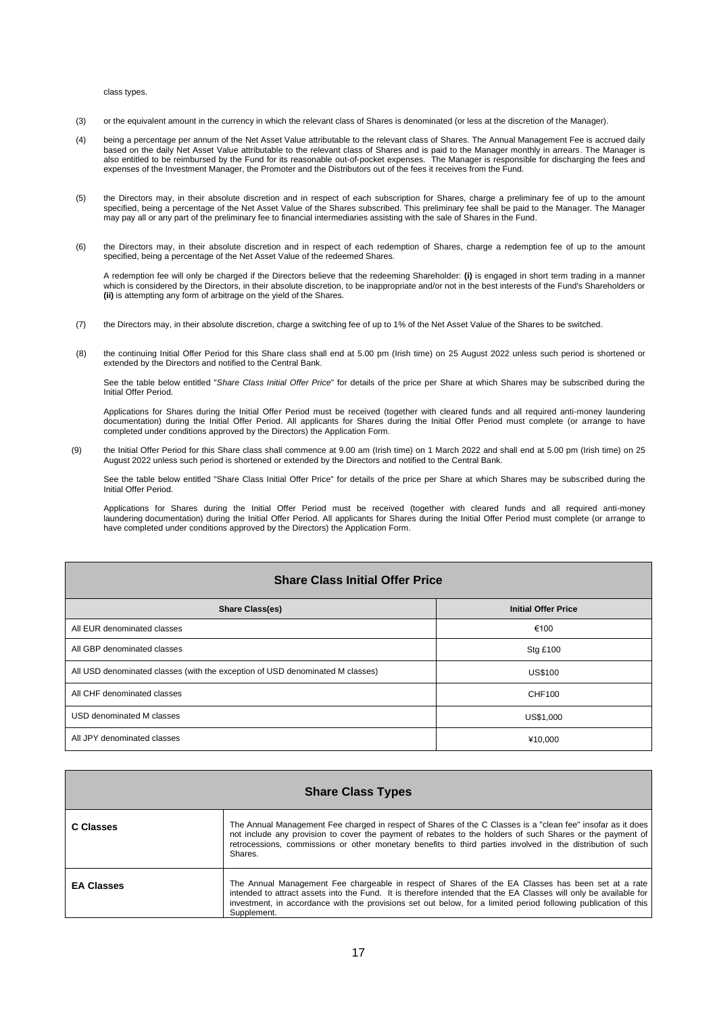#### class types.

- (3) or the equivalent amount in the currency in which the relevant class of Shares is denominated (or less at the discretion of the Manager).
- (4) being a percentage per annum of the Net Asset Value attributable to the relevant class of Shares. The Annual Management Fee is accrued daily based on the daily Net Asset Value attributable to the relevant class of Shares and is paid to the Manager monthly in arrears. The Manager is also entitled to be reimbursed by the Fund for its reasonable out-of-pocket expenses. The Manager is responsible for discharging the fees and expenses of the Investment Manager, the Promoter and the Distributors out of the fees it receives from the Fund.
- (5) the Directors may, in their absolute discretion and in respect of each subscription for Shares, charge a preliminary fee of up to the amount specified, being a percentage of the Net Asset Value of the Shares subscribed. This preliminary fee shall be paid to the Manager. The Manager may pay all or any part of the preliminary fee to financial intermediaries assisting with the sale of Shares in the Fund.
- (6) the Directors may, in their absolute discretion and in respect of each redemption of Shares, charge a redemption fee of up to the amount specified, being a percentage of the Net Asset Value of the redeemed Shares.

A redemption fee will only be charged if the Directors believe that the redeeming Shareholder: **(i)** is engaged in short term trading in a manner which is considered by the Directors, in their absolute discretion, to be inappropriate and/or not in the best interests of the Fund's Shareholders or **(ii)** is attempting any form of arbitrage on the yield of the Shares.

- (7) the Directors may, in their absolute discretion, charge a switching fee of up to 1% of the Net Asset Value of the Shares to be switched.
- (8) the continuing Initial Offer Period for this Share class shall end at 5.00 pm (Irish time) on 25 August 2022 unless such period is shortened or extended by the Directors and notified to the Central Bank.

See the table below entitled "*Share Class Initial Offer Price*" for details of the price per Share at which Shares may be subscribed during the Initial Offer Period.

Applications for Shares during the Initial Offer Period must be received (together with cleared funds and all required anti-money laundering documentation) during the Initial Offer Period. All applicants for Shares during the Initial Offer Period must complete (or arrange to have completed under conditions approved by the Directors) the Application Form.

(9) the Initial Offer Period for this Share class shall commence at 9.00 am (Irish time) on 1 March 2022 and shall end at 5.00 pm (Irish time) on 25 August 2022 unless such period is shortened or extended by the Directors and notified to the Central Bank.

See the table below entitled "Share Class Initial Offer Price" for details of the price per Share at which Shares may be subscribed during the Initial Offer Period.

Applications for Shares during the Initial Offer Period must be received (together with cleared funds and all required anti-money laundering documentation) during the Initial Offer Period. All applicants for Shares during the Initial Offer Period must complete (or arrange to have completed under conditions approved by the Directors) the Application Form.

| <b>Share Class Initial Offer Price</b>                                        |                            |  |  |  |
|-------------------------------------------------------------------------------|----------------------------|--|--|--|
| <b>Share Class(es)</b>                                                        | <b>Initial Offer Price</b> |  |  |  |
| All EUR denominated classes                                                   | €100                       |  |  |  |
| All GBP denominated classes                                                   | <b>Stg £100</b>            |  |  |  |
| All USD denominated classes (with the exception of USD denominated M classes) | <b>US\$100</b>             |  |  |  |
| All CHF denominated classes                                                   | CHF100                     |  |  |  |
| USD denominated M classes                                                     | US\$1,000                  |  |  |  |
| All JPY denominated classes                                                   | ¥10,000                    |  |  |  |

| <b>Share Class Types</b> |                                                                                                                                                                                                                                                                                                                                                           |  |  |
|--------------------------|-----------------------------------------------------------------------------------------------------------------------------------------------------------------------------------------------------------------------------------------------------------------------------------------------------------------------------------------------------------|--|--|
| C Classes                | The Annual Management Fee charged in respect of Shares of the C Classes is a "clean fee" insofar as it does<br>not include any provision to cover the payment of rebates to the holders of such Shares or the payment of<br>retrocessions, commissions or other monetary benefits to third parties involved in the distribution of such<br>Shares.        |  |  |
| <b>EA Classes</b>        | The Annual Management Fee chargeable in respect of Shares of the EA Classes has been set at a rate<br>intended to attract assets into the Fund. It is therefore intended that the EA Classes will only be available for<br>investment, in accordance with the provisions set out below, for a limited period following publication of this<br>Supplement. |  |  |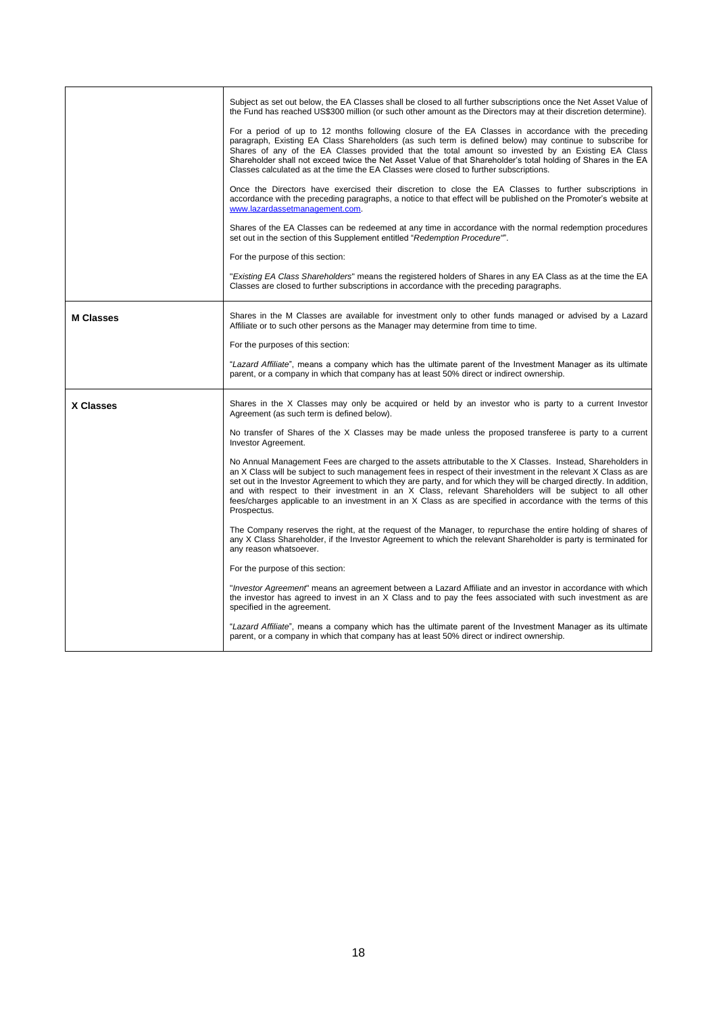|                  | Subject as set out below, the EA Classes shall be closed to all further subscriptions once the Net Asset Value of<br>the Fund has reached US\$300 million (or such other amount as the Directors may at their discretion determine).<br>For a period of up to 12 months following closure of the EA Classes in accordance with the preceding<br>paragraph, Existing EA Class Shareholders (as such term is defined below) may continue to subscribe for<br>Shares of any of the EA Classes provided that the total amount so invested by an Existing EA Class<br>Shareholder shall not exceed twice the Net Asset Value of that Shareholder's total holding of Shares in the EA<br>Classes calculated as at the time the EA Classes were closed to further subscriptions.<br>Once the Directors have exercised their discretion to close the EA Classes to further subscriptions in<br>accordance with the preceding paragraphs, a notice to that effect will be published on the Promoter's website at<br>www.lazardassetmanagement.com.<br>Shares of the EA Classes can be redeemed at any time in accordance with the normal redemption procedures<br>set out in the section of this Supplement entitled "Redemption Procedure".<br>For the purpose of this section: |
|------------------|-------------------------------------------------------------------------------------------------------------------------------------------------------------------------------------------------------------------------------------------------------------------------------------------------------------------------------------------------------------------------------------------------------------------------------------------------------------------------------------------------------------------------------------------------------------------------------------------------------------------------------------------------------------------------------------------------------------------------------------------------------------------------------------------------------------------------------------------------------------------------------------------------------------------------------------------------------------------------------------------------------------------------------------------------------------------------------------------------------------------------------------------------------------------------------------------------------------------------------------------------------------------------|
|                  | "Existing EA Class Shareholders" means the registered holders of Shares in any EA Class as at the time the EA<br>Classes are closed to further subscriptions in accordance with the preceding paragraphs.                                                                                                                                                                                                                                                                                                                                                                                                                                                                                                                                                                                                                                                                                                                                                                                                                                                                                                                                                                                                                                                               |
| <b>M Classes</b> | Shares in the M Classes are available for investment only to other funds managed or advised by a Lazard<br>Affiliate or to such other persons as the Manager may determine from time to time.<br>For the purposes of this section:                                                                                                                                                                                                                                                                                                                                                                                                                                                                                                                                                                                                                                                                                                                                                                                                                                                                                                                                                                                                                                      |
|                  | "Lazard Affiliate", means a company which has the ultimate parent of the Investment Manager as its ultimate<br>parent, or a company in which that company has at least 50% direct or indirect ownership.                                                                                                                                                                                                                                                                                                                                                                                                                                                                                                                                                                                                                                                                                                                                                                                                                                                                                                                                                                                                                                                                |
| <b>X Classes</b> | Shares in the X Classes may only be acquired or held by an investor who is party to a current Investor<br>Agreement (as such term is defined below).                                                                                                                                                                                                                                                                                                                                                                                                                                                                                                                                                                                                                                                                                                                                                                                                                                                                                                                                                                                                                                                                                                                    |
|                  | No transfer of Shares of the X Classes may be made unless the proposed transferee is party to a current<br>Investor Agreement.                                                                                                                                                                                                                                                                                                                                                                                                                                                                                                                                                                                                                                                                                                                                                                                                                                                                                                                                                                                                                                                                                                                                          |
|                  | No Annual Management Fees are charged to the assets attributable to the X Classes. Instead, Shareholders in<br>an X Class will be subject to such management fees in respect of their investment in the relevant X Class as are<br>set out in the Investor Agreement to which they are party, and for which they will be charged directly. In addition,<br>and with respect to their investment in an X Class, relevant Shareholders will be subject to all other<br>fees/charges applicable to an investment in an X Class as are specified in accordance with the terms of this<br>Prospectus.                                                                                                                                                                                                                                                                                                                                                                                                                                                                                                                                                                                                                                                                        |
|                  | The Company reserves the right, at the request of the Manager, to repurchase the entire holding of shares of<br>any X Class Shareholder, if the Investor Agreement to which the relevant Shareholder is party is terminated for<br>any reason whatsoever.                                                                                                                                                                                                                                                                                                                                                                                                                                                                                                                                                                                                                                                                                                                                                                                                                                                                                                                                                                                                               |
|                  | For the purpose of this section:                                                                                                                                                                                                                                                                                                                                                                                                                                                                                                                                                                                                                                                                                                                                                                                                                                                                                                                                                                                                                                                                                                                                                                                                                                        |
|                  | "Investor Agreement" means an agreement between a Lazard Affiliate and an investor in accordance with which<br>the investor has agreed to invest in an X Class and to pay the fees associated with such investment as are<br>specified in the agreement.                                                                                                                                                                                                                                                                                                                                                                                                                                                                                                                                                                                                                                                                                                                                                                                                                                                                                                                                                                                                                |
|                  | "Lazard Affiliate", means a company which has the ultimate parent of the Investment Manager as its ultimate<br>parent, or a company in which that company has at least 50% direct or indirect ownership.                                                                                                                                                                                                                                                                                                                                                                                                                                                                                                                                                                                                                                                                                                                                                                                                                                                                                                                                                                                                                                                                |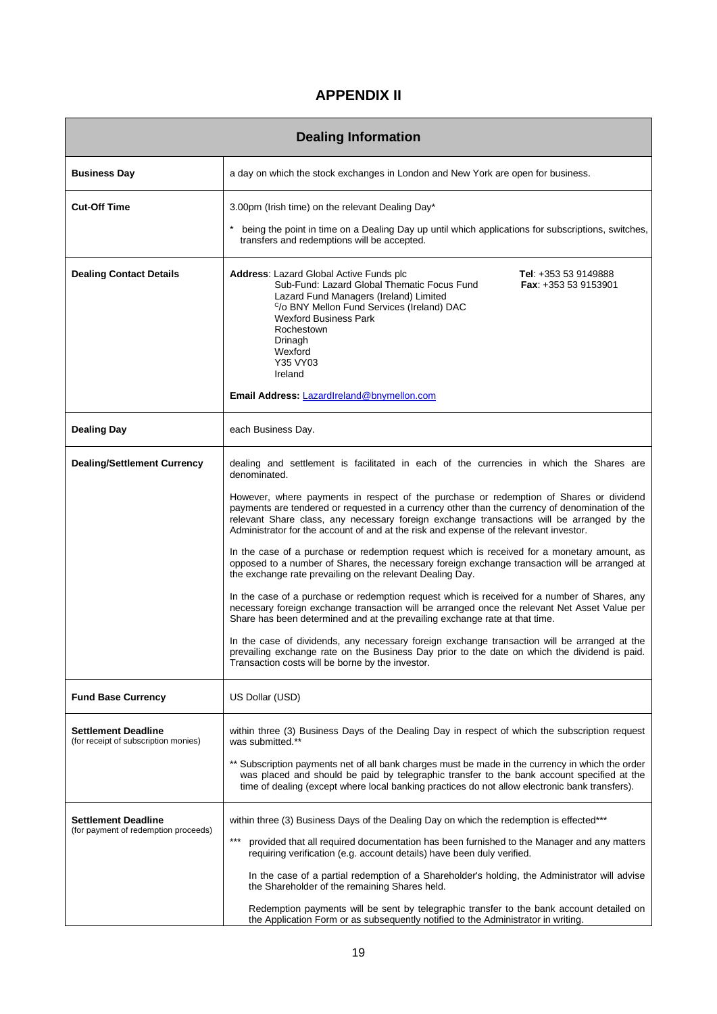## **APPENDIX II**

|                                                                    | <b>Dealing Information</b>                                                                                                                                                                                                                                                                                                                                                                                                                                                                                                                                                                                                                                                                                                                                                                                                                                                                                                                                                                                                                                                                                                                                                                                                                                                                     |
|--------------------------------------------------------------------|------------------------------------------------------------------------------------------------------------------------------------------------------------------------------------------------------------------------------------------------------------------------------------------------------------------------------------------------------------------------------------------------------------------------------------------------------------------------------------------------------------------------------------------------------------------------------------------------------------------------------------------------------------------------------------------------------------------------------------------------------------------------------------------------------------------------------------------------------------------------------------------------------------------------------------------------------------------------------------------------------------------------------------------------------------------------------------------------------------------------------------------------------------------------------------------------------------------------------------------------------------------------------------------------|
| <b>Business Day</b>                                                | a day on which the stock exchanges in London and New York are open for business.                                                                                                                                                                                                                                                                                                                                                                                                                                                                                                                                                                                                                                                                                                                                                                                                                                                                                                                                                                                                                                                                                                                                                                                                               |
| <b>Cut-Off Time</b>                                                | 3.00pm (Irish time) on the relevant Dealing Day*<br>being the point in time on a Dealing Day up until which applications for subscriptions, switches,<br>transfers and redemptions will be accepted.                                                                                                                                                                                                                                                                                                                                                                                                                                                                                                                                                                                                                                                                                                                                                                                                                                                                                                                                                                                                                                                                                           |
| <b>Dealing Contact Details</b>                                     | <b>Address: Lazard Global Active Funds plc</b><br>Tel: $+353539149888$<br>Sub-Fund: Lazard Global Thematic Focus Fund<br><b>Fax:</b> $+353539153901$<br>Lazard Fund Managers (Ireland) Limited<br><sup>C</sup> /o BNY Mellon Fund Services (Ireland) DAC<br><b>Wexford Business Park</b><br>Rochestown<br>Drinagh<br>Wexford<br>Y35 VY03<br>Ireland<br>Email Address: LazardIreland@bnymellon.com                                                                                                                                                                                                                                                                                                                                                                                                                                                                                                                                                                                                                                                                                                                                                                                                                                                                                              |
| <b>Dealing Day</b>                                                 | each Business Day.                                                                                                                                                                                                                                                                                                                                                                                                                                                                                                                                                                                                                                                                                                                                                                                                                                                                                                                                                                                                                                                                                                                                                                                                                                                                             |
| <b>Dealing/Settlement Currency</b>                                 | dealing and settlement is facilitated in each of the currencies in which the Shares are<br>denominated.<br>However, where payments in respect of the purchase or redemption of Shares or dividend<br>payments are tendered or requested in a currency other than the currency of denomination of the<br>relevant Share class, any necessary foreign exchange transactions will be arranged by the<br>Administrator for the account of and at the risk and expense of the relevant investor.<br>In the case of a purchase or redemption request which is received for a monetary amount, as<br>opposed to a number of Shares, the necessary foreign exchange transaction will be arranged at<br>the exchange rate prevailing on the relevant Dealing Day.<br>In the case of a purchase or redemption request which is received for a number of Shares, any<br>necessary foreign exchange transaction will be arranged once the relevant Net Asset Value per<br>Share has been determined and at the prevailing exchange rate at that time.<br>In the case of dividends, any necessary foreign exchange transaction will be arranged at the<br>prevailing exchange rate on the Business Day prior to the date on which the dividend is paid.<br>Transaction costs will be borne by the investor. |
| <b>Fund Base Currency</b>                                          | US Dollar (USD)                                                                                                                                                                                                                                                                                                                                                                                                                                                                                                                                                                                                                                                                                                                                                                                                                                                                                                                                                                                                                                                                                                                                                                                                                                                                                |
| <b>Settlement Deadline</b><br>(for receipt of subscription monies) | within three (3) Business Days of the Dealing Day in respect of which the subscription request<br>was submitted.**<br>** Subscription payments net of all bank charges must be made in the currency in which the order<br>was placed and should be paid by telegraphic transfer to the bank account specified at the<br>time of dealing (except where local banking practices do not allow electronic bank transfers).                                                                                                                                                                                                                                                                                                                                                                                                                                                                                                                                                                                                                                                                                                                                                                                                                                                                         |
| <b>Settlement Deadline</b><br>(for payment of redemption proceeds) | within three (3) Business Days of the Dealing Day on which the redemption is effected***<br>$***$<br>provided that all required documentation has been furnished to the Manager and any matters<br>requiring verification (e.g. account details) have been duly verified.<br>In the case of a partial redemption of a Shareholder's holding, the Administrator will advise<br>the Shareholder of the remaining Shares held.<br>Redemption payments will be sent by telegraphic transfer to the bank account detailed on<br>the Application Form or as subsequently notified to the Administrator in writing.                                                                                                                                                                                                                                                                                                                                                                                                                                                                                                                                                                                                                                                                                   |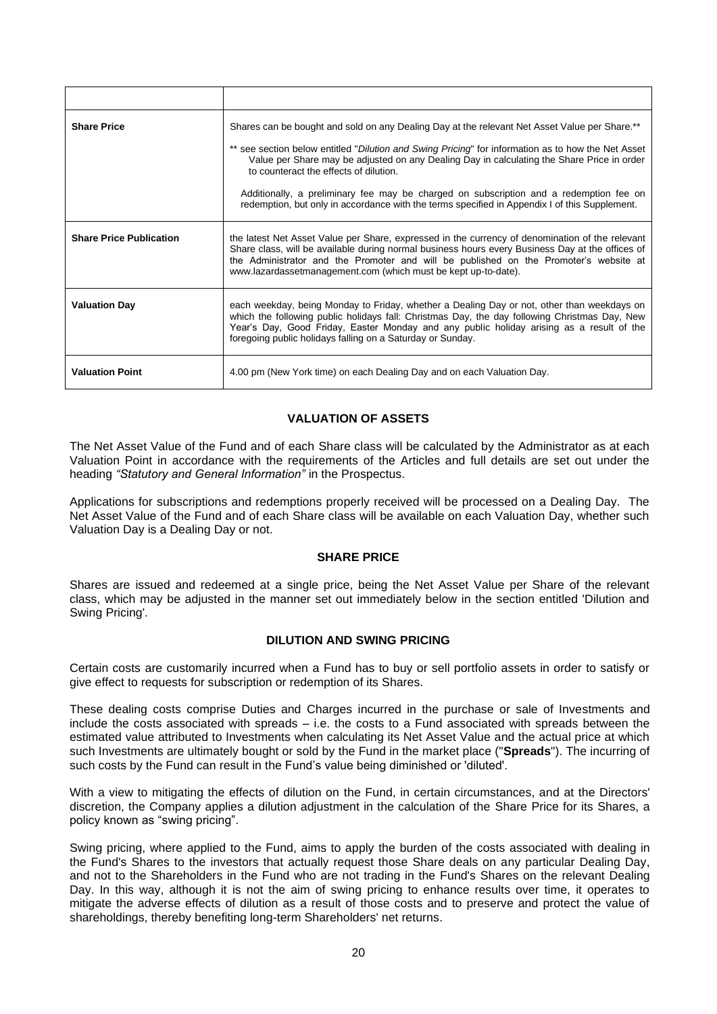| <b>Share Price</b>             | Shares can be bought and sold on any Dealing Day at the relevant Net Asset Value per Share.**                                                                                                                                                                                                                                                                  |
|--------------------------------|----------------------------------------------------------------------------------------------------------------------------------------------------------------------------------------------------------------------------------------------------------------------------------------------------------------------------------------------------------------|
|                                | ** see section below entitled "Dilution and Swing Pricing" for information as to how the Net Asset<br>Value per Share may be adjusted on any Dealing Day in calculating the Share Price in order<br>to counteract the effects of dilution.                                                                                                                     |
|                                | Additionally, a preliminary fee may be charged on subscription and a redemption fee on<br>redemption, but only in accordance with the terms specified in Appendix I of this Supplement.                                                                                                                                                                        |
| <b>Share Price Publication</b> | the latest Net Asset Value per Share, expressed in the currency of denomination of the relevant<br>Share class, will be available during normal business hours every Business Day at the offices of<br>the Administrator and the Promoter and will be published on the Promoter's website at<br>www.lazardassetmanagement.com (which must be kept up-to-date). |
| <b>Valuation Day</b>           | each weekday, being Monday to Friday, whether a Dealing Day or not, other than weekdays on<br>which the following public holidays fall: Christmas Day, the day following Christmas Day, New<br>Year's Day, Good Friday, Easter Monday and any public holiday arising as a result of the<br>foregoing public holidays falling on a Saturday or Sunday.          |
| <b>Valuation Point</b>         | 4.00 pm (New York time) on each Dealing Day and on each Valuation Day.                                                                                                                                                                                                                                                                                         |

## **VALUATION OF ASSETS**

The Net Asset Value of the Fund and of each Share class will be calculated by the Administrator as at each Valuation Point in accordance with the requirements of the Articles and full details are set out under the heading *"Statutory and General Information"* in the Prospectus.

Applications for subscriptions and redemptions properly received will be processed on a Dealing Day. The Net Asset Value of the Fund and of each Share class will be available on each Valuation Day, whether such Valuation Day is a Dealing Day or not.

#### **SHARE PRICE**

Shares are issued and redeemed at a single price, being the Net Asset Value per Share of the relevant class, which may be adjusted in the manner set out immediately below in the section entitled 'Dilution and Swing Pricing'.

### **DILUTION AND SWING PRICING**

Certain costs are customarily incurred when a Fund has to buy or sell portfolio assets in order to satisfy or give effect to requests for subscription or redemption of its Shares.

These dealing costs comprise Duties and Charges incurred in the purchase or sale of Investments and include the costs associated with spreads – i.e. the costs to a Fund associated with spreads between the estimated value attributed to Investments when calculating its Net Asset Value and the actual price at which such Investments are ultimately bought or sold by the Fund in the market place ("**Spreads**"). The incurring of such costs by the Fund can result in the Fund's value being diminished or 'diluted'.

With a view to mitigating the effects of dilution on the Fund, in certain circumstances, and at the Directors' discretion, the Company applies a dilution adjustment in the calculation of the Share Price for its Shares, a policy known as "swing pricing".

Swing pricing, where applied to the Fund, aims to apply the burden of the costs associated with dealing in the Fund's Shares to the investors that actually request those Share deals on any particular Dealing Day, and not to the Shareholders in the Fund who are not trading in the Fund's Shares on the relevant Dealing Day. In this way, although it is not the aim of swing pricing to enhance results over time, it operates to mitigate the adverse effects of dilution as a result of those costs and to preserve and protect the value of shareholdings, thereby benefiting long-term Shareholders' net returns.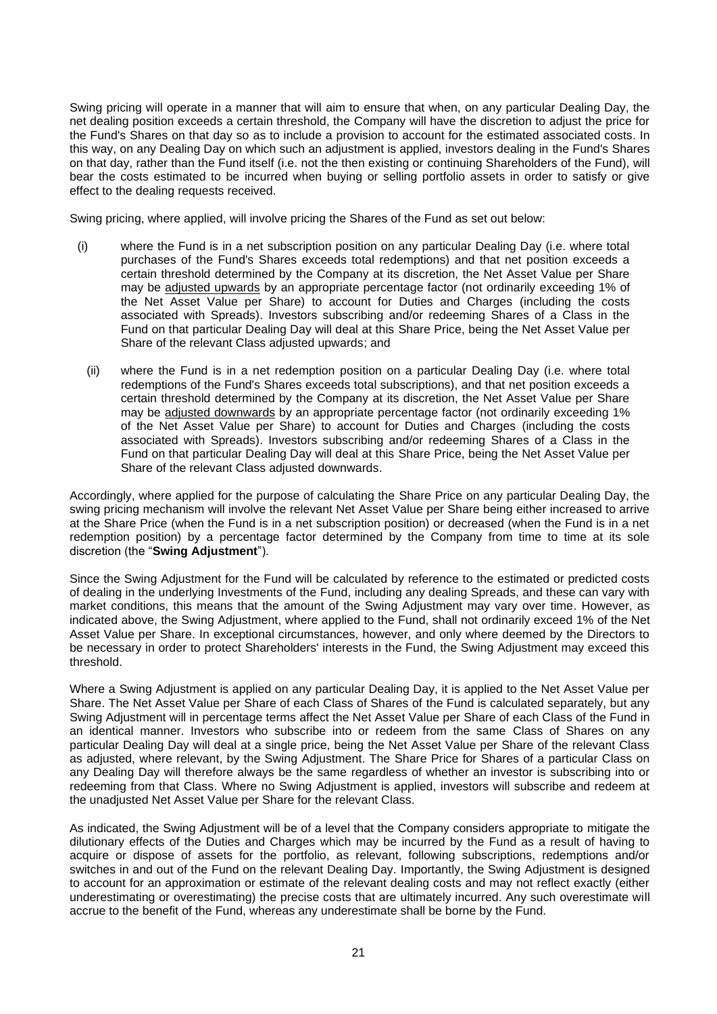Swing pricing will operate in a manner that will aim to ensure that when, on any particular Dealing Day, the net dealing position exceeds a certain threshold, the Company will have the discretion to adjust the price for the Fund's Shares on that day so as to include a provision to account for the estimated associated costs. In this way, on any Dealing Day on which such an adjustment is applied, investors dealing in the Fund's Shares on that day, rather than the Fund itself (i.e. not the then existing or continuing Shareholders of the Fund), will bear the costs estimated to be incurred when buying or selling portfolio assets in order to satisfy or give effect to the dealing requests received.

Swing pricing, where applied, will involve pricing the Shares of the Fund as set out below:

- (i) where the Fund is in a net subscription position on any particular Dealing Day (i.e. where total purchases of the Fund's Shares exceeds total redemptions) and that net position exceeds a certain threshold determined by the Company at its discretion, the Net Asset Value per Share may be adjusted upwards by an appropriate percentage factor (not ordinarily exceeding 1% of the Net Asset Value per Share) to account for Duties and Charges (including the costs associated with Spreads). Investors subscribing and/or redeeming Shares of a Class in the Fund on that particular Dealing Day will deal at this Share Price, being the Net Asset Value per Share of the relevant Class adjusted upwards; and
	- (ii) where the Fund is in a net redemption position on a particular Dealing Day (i.e. where total redemptions of the Fund's Shares exceeds total subscriptions), and that net position exceeds a certain threshold determined by the Company at its discretion, the Net Asset Value per Share may be adjusted downwards by an appropriate percentage factor (not ordinarily exceeding 1% of the Net Asset Value per Share) to account for Duties and Charges (including the costs associated with Spreads). Investors subscribing and/or redeeming Shares of a Class in the Fund on that particular Dealing Day will deal at this Share Price, being the Net Asset Value per Share of the relevant Class adjusted downwards.

Accordingly, where applied for the purpose of calculating the Share Price on any particular Dealing Day, the swing pricing mechanism will involve the relevant Net Asset Value per Share being either increased to arrive at the Share Price (when the Fund is in a net subscription position) or decreased (when the Fund is in a net redemption position) by a percentage factor determined by the Company from time to time at its sole discretion (the "**Swing Adjustment**").

Since the Swing Adjustment for the Fund will be calculated by reference to the estimated or predicted costs of dealing in the underlying Investments of the Fund, including any dealing Spreads, and these can vary with market conditions, this means that the amount of the Swing Adjustment may vary over time. However, as indicated above, the Swing Adjustment, where applied to the Fund, shall not ordinarily exceed 1% of the Net Asset Value per Share. In exceptional circumstances, however, and only where deemed by the Directors to be necessary in order to protect Shareholders' interests in the Fund, the Swing Adjustment may exceed this threshold.

Where a Swing Adjustment is applied on any particular Dealing Day, it is applied to the Net Asset Value per Share. The Net Asset Value per Share of each Class of Shares of the Fund is calculated separately, but any Swing Adjustment will in percentage terms affect the Net Asset Value per Share of each Class of the Fund in an identical manner. Investors who subscribe into or redeem from the same Class of Shares on any particular Dealing Day will deal at a single price, being the Net Asset Value per Share of the relevant Class as adjusted, where relevant, by the Swing Adjustment. The Share Price for Shares of a particular Class on any Dealing Day will therefore always be the same regardless of whether an investor is subscribing into or redeeming from that Class. Where no Swing Adjustment is applied, investors will subscribe and redeem at the unadjusted Net Asset Value per Share for the relevant Class.

As indicated, the Swing Adjustment will be of a level that the Company considers appropriate to mitigate the dilutionary effects of the Duties and Charges which may be incurred by the Fund as a result of having to acquire or dispose of assets for the portfolio, as relevant, following subscriptions, redemptions and/or switches in and out of the Fund on the relevant Dealing Day. Importantly, the Swing Adjustment is designed to account for an approximation or estimate of the relevant dealing costs and may not reflect exactly (either underestimating or overestimating) the precise costs that are ultimately incurred. Any such overestimate will accrue to the benefit of the Fund, whereas any underestimate shall be borne by the Fund.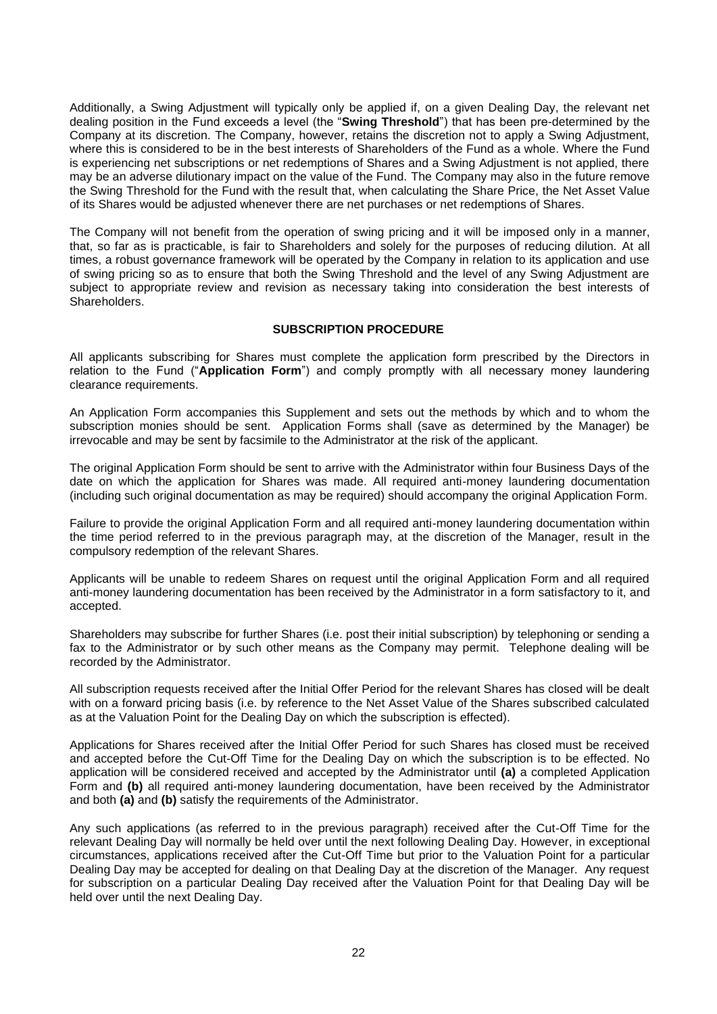Additionally, a Swing Adjustment will typically only be applied if, on a given Dealing Day, the relevant net dealing position in the Fund exceeds a level (the "**Swing Threshold**") that has been pre-determined by the Company at its discretion. The Company, however, retains the discretion not to apply a Swing Adjustment, where this is considered to be in the best interests of Shareholders of the Fund as a whole. Where the Fund is experiencing net subscriptions or net redemptions of Shares and a Swing Adjustment is not applied, there may be an adverse dilutionary impact on the value of the Fund. The Company may also in the future remove the Swing Threshold for the Fund with the result that, when calculating the Share Price, the Net Asset Value of its Shares would be adjusted whenever there are net purchases or net redemptions of Shares.

The Company will not benefit from the operation of swing pricing and it will be imposed only in a manner, that, so far as is practicable, is fair to Shareholders and solely for the purposes of reducing dilution. At all times, a robust governance framework will be operated by the Company in relation to its application and use of swing pricing so as to ensure that both the Swing Threshold and the level of any Swing Adjustment are subject to appropriate review and revision as necessary taking into consideration the best interests of Shareholders.

### **SUBSCRIPTION PROCEDURE**

All applicants subscribing for Shares must complete the application form prescribed by the Directors in relation to the Fund ("**Application Form**") and comply promptly with all necessary money laundering clearance requirements.

An Application Form accompanies this Supplement and sets out the methods by which and to whom the subscription monies should be sent. Application Forms shall (save as determined by the Manager) be irrevocable and may be sent by facsimile to the Administrator at the risk of the applicant.

The original Application Form should be sent to arrive with the Administrator within four Business Days of the date on which the application for Shares was made. All required anti-money laundering documentation (including such original documentation as may be required) should accompany the original Application Form.

Failure to provide the original Application Form and all required anti-money laundering documentation within the time period referred to in the previous paragraph may, at the discretion of the Manager, result in the compulsory redemption of the relevant Shares.

Applicants will be unable to redeem Shares on request until the original Application Form and all required anti-money laundering documentation has been received by the Administrator in a form satisfactory to it, and accepted.

Shareholders may subscribe for further Shares (i.e. post their initial subscription) by telephoning or sending a fax to the Administrator or by such other means as the Company may permit. Telephone dealing will be recorded by the Administrator.

All subscription requests received after the Initial Offer Period for the relevant Shares has closed will be dealt with on a forward pricing basis (i.e. by reference to the Net Asset Value of the Shares subscribed calculated as at the Valuation Point for the Dealing Day on which the subscription is effected).

Applications for Shares received after the Initial Offer Period for such Shares has closed must be received and accepted before the Cut-Off Time for the Dealing Day on which the subscription is to be effected. No application will be considered received and accepted by the Administrator until **(a)** a completed Application Form and **(b)** all required anti-money laundering documentation, have been received by the Administrator and both **(a)** and **(b)** satisfy the requirements of the Administrator.

Any such applications (as referred to in the previous paragraph) received after the Cut-Off Time for the relevant Dealing Day will normally be held over until the next following Dealing Day. However, in exceptional circumstances, applications received after the Cut-Off Time but prior to the Valuation Point for a particular Dealing Day may be accepted for dealing on that Dealing Day at the discretion of the Manager. Any request for subscription on a particular Dealing Day received after the Valuation Point for that Dealing Day will be held over until the next Dealing Day.